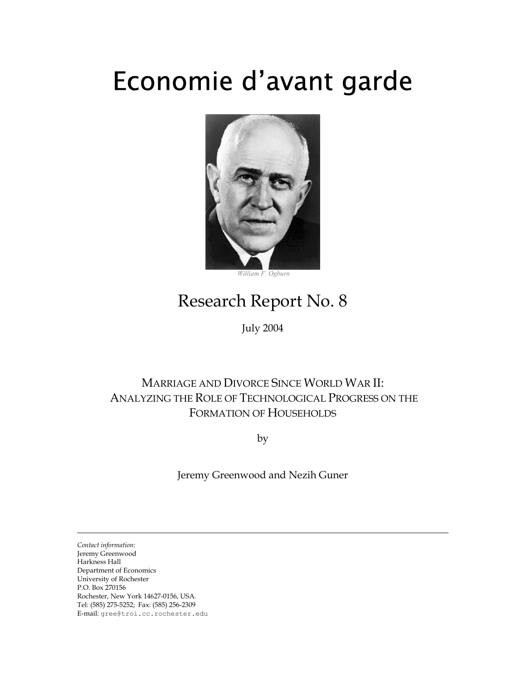# Economie d'avant garde



 *William F. Ogburn* 

# Research Report No. 8

July 2004

# MARRIAGE AND DIVORCE SINCE WORLD WAR II: ANALYZING THE ROLE OF TECHNOLOGICAL PROGRESS ON THE FORMATION OF HOUSEHOLDS

by

Jeremy Greenwood and Nezih Guner

*Contact information*: Jeremy Greenwood Harkness Hall Department of Economics University of Rochester P.O. Box 270156 Rochester, New York 14627-0156, USA. Tel: (585) 275-5252; Fax: (585) 256-2309 E-mail: gree@troi.cc.rochester.edu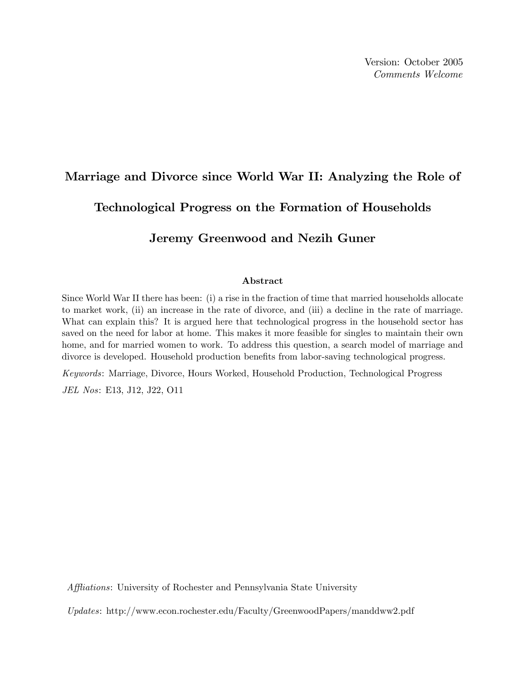Version: October 2005 Comments Welcome

# Marriage and Divorce since World War II: Analyzing the Role of Technological Progress on the Formation of Households

# Jeremy Greenwood and Nezih Guner

#### Abstract

Since World War II there has been: (i) a rise in the fraction of time that married households allocate to market work, (ii) an increase in the rate of divorce, and (iii) a decline in the rate of marriage. What can explain this? It is argued here that technological progress in the household sector has saved on the need for labor at home. This makes it more feasible for singles to maintain their own home, and for married women to work. To address this question, a search model of marriage and divorce is developed. Household production benefits from labor-saving technological progress.

Keywords: Marriage, Divorce, Hours Worked, Household Production, Technological Progress JEL Nos: E13, J12, J22, O11

Affliations: University of Rochester and Pennsylvania State University

Updates: http://www.econ.rochester.edu/Faculty/GreenwoodPapers/manddww2.pdf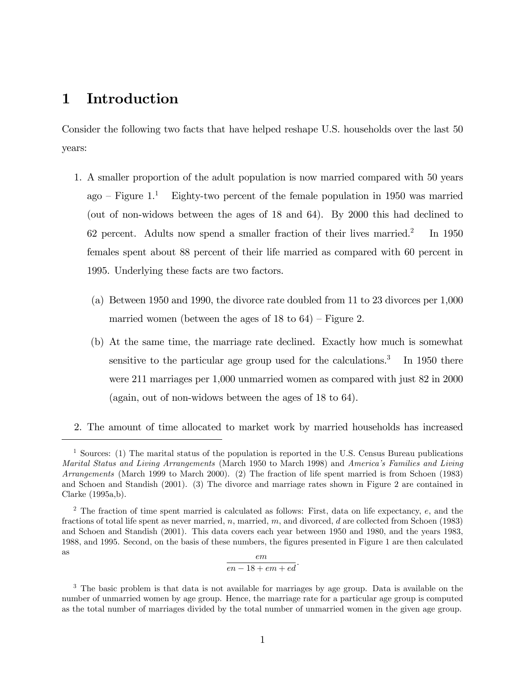# 1 Introduction

Consider the following two facts that have helped reshape U.S. households over the last 50 years:

- 1. A smaller proportion of the adult population is now married compared with 50 years ago – Figure  $1<sup>1</sup>$  Eighty-two percent of the female population in 1950 was married (out of non-widows between the ages of 18 and 64). By 2000 this had declined to 62 percent. Adults now spend a smaller fraction of their lives married.<sup>2</sup> In 1950 females spent about 88 percent of their life married as compared with 60 percent in 1995. Underlying these facts are two factors.
	- (a) Between 1950 and 1990, the divorce rate doubled from 11 to 23 divorces per 1,000 married women (between the ages of  $18$  to  $64$ ) – Figure 2.
	- (b) At the same time, the marriage rate declined. Exactly how much is somewhat sensitive to the particular age group used for the calculations.<sup>3</sup> In 1950 there were 211 marriages per 1,000 unmarried women as compared with just 82 in 2000 (again, out of non-widows between the ages of 18 to 64).
- 2. The amount of time allocated to market work by married households has increased

$$
\frac{em}{en - 18 + em + ed}.
$$

<sup>1</sup> Sources: (1) The marital status of the population is reported in the U.S. Census Bureau publications Marital Status and Living Arrangements (March 1950 to March 1998) and America's Families and Living Arrangements (March 1999 to March 2000). (2) The fraction of life spent married is from Schoen (1983) and Schoen and Standish (2001). (3) The divorce and marriage rates shown in Figure 2 are contained in Clarke (1995a,b).

<sup>&</sup>lt;sup>2</sup> The fraction of time spent married is calculated as follows: First, data on life expectancy,  $e$ , and the fractions of total life spent as never married, n, married, m, and divorced, d are collected from Schoen (1983) and Schoen and Standish (2001). This data covers each year between 1950 and 1980, and the years 1983, 1988, and 1995. Second, on the basis of these numbers, the Ögures presented in Figure 1 are then calculated as em

<sup>&</sup>lt;sup>3</sup> The basic problem is that data is not available for marriages by age group. Data is available on the number of unmarried women by age group. Hence, the marriage rate for a particular age group is computed as the total number of marriages divided by the total number of unmarried women in the given age group.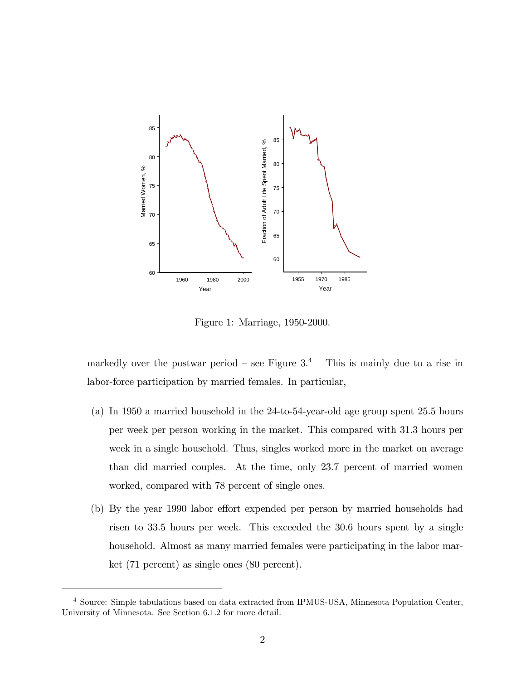

Figure 1: Marriage, 1950-2000.

markedly over the postwar period – see Figure  $3<sup>4</sup>$  This is mainly due to a rise in labor-force participation by married females. In particular,

- (a) In 1950 a married household in the 24-to-54-year-old age group spent 25.5 hours per week per person working in the market. This compared with 31.3 hours per week in a single household. Thus, singles worked more in the market on average than did married couples. At the time, only 23.7 percent of married women worked, compared with 78 percent of single ones.
- (b) By the year 1990 labor effort expended per person by married households had risen to 33.5 hours per week. This exceeded the 30.6 hours spent by a single household. Almost as many married females were participating in the labor market (71 percent) as single ones (80 percent).

<sup>4</sup> Source: Simple tabulations based on data extracted from IPMUS-USA, Minnesota Population Center, University of Minnesota. See Section 6.1.2 for more detail.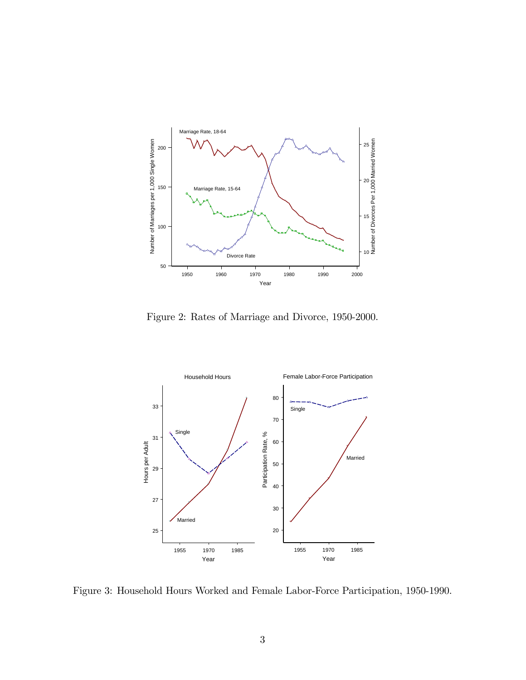

Figure 2: Rates of Marriage and Divorce, 1950-2000.



Figure 3: Household Hours Worked and Female Labor-Force Participation, 1950-1990.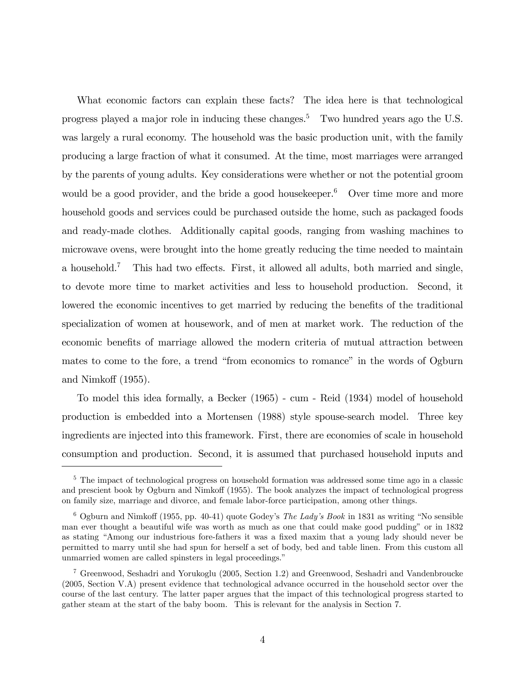What economic factors can explain these facts? The idea here is that technological progress played a major role in inducing these changes.<sup>5</sup> Two hundred years ago the U.S. was largely a rural economy. The household was the basic production unit, with the family producing a large fraction of what it consumed. At the time, most marriages were arranged by the parents of young adults. Key considerations were whether or not the potential groom would be a good provider, and the bride a good house keeper. $6$  Over time more and more household goods and services could be purchased outside the home, such as packaged foods and ready-made clothes. Additionally capital goods, ranging from washing machines to microwave ovens, were brought into the home greatly reducing the time needed to maintain a household.<sup>7</sup> This had two effects. First, it allowed all adults, both married and single, to devote more time to market activities and less to household production. Second, it lowered the economic incentives to get married by reducing the benefits of the traditional specialization of women at housework, and of men at market work. The reduction of the economic benefits of marriage allowed the modern criteria of mutual attraction between mates to come to the fore, a trend "from economics to romance" in the words of Ogburn and Nimkoff  $(1955)$ .

To model this idea formally, a Becker (1965) - cum - Reid (1934) model of household production is embedded into a Mortensen (1988) style spouse-search model. Three key ingredients are injected into this framework. First, there are economies of scale in household consumption and production. Second, it is assumed that purchased household inputs and

<sup>&</sup>lt;sup>5</sup> The impact of technological progress on household formation was addressed some time ago in a classic and prescient book by Ogburn and Nimkoff (1955). The book analyzes the impact of technological progress on family size, marriage and divorce, and female labor-force participation, among other things.

 $6$  Ogburn and Nimkoff (1955, pp. 40-41) quote Godey's The Lady's Book in 1831 as writing "No sensible man ever thought a beautiful wife was worth as much as one that could make good pudding" or in 1832 as stating "Among our industrious fore-fathers it was a fixed maxim that a young lady should never be permitted to marry until she had spun for herself a set of body, bed and table linen. From this custom all unmarried women are called spinsters in legal proceedings."

<sup>7</sup> Greenwood, Seshadri and Yorukoglu (2005, Section 1.2) and Greenwood, Seshadri and Vandenbroucke (2005, Section V.A) present evidence that technological advance occurred in the household sector over the course of the last century. The latter paper argues that the impact of this technological progress started to gather steam at the start of the baby boom. This is relevant for the analysis in Section 7.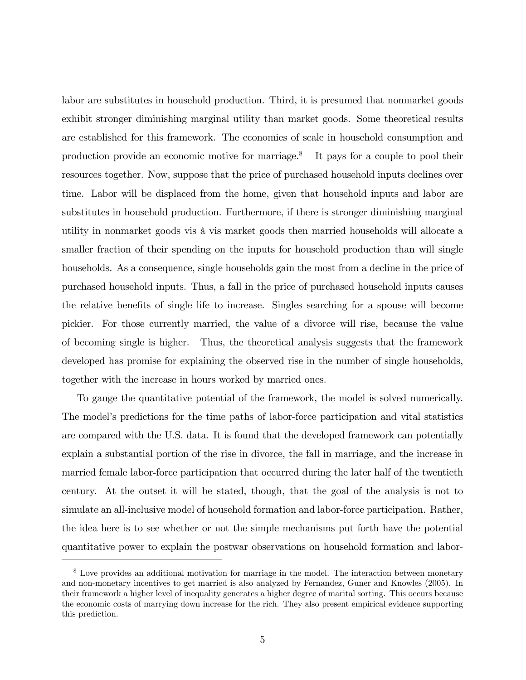labor are substitutes in household production. Third, it is presumed that nonmarket goods exhibit stronger diminishing marginal utility than market goods. Some theoretical results are established for this framework. The economies of scale in household consumption and production provide an economic motive for marriage.<sup>8</sup> It pays for a couple to pool their resources together. Now, suppose that the price of purchased household inputs declines over time. Labor will be displaced from the home, given that household inputs and labor are substitutes in household production. Furthermore, if there is stronger diminishing marginal utility in nonmarket goods vis à vis market goods then married households will allocate a smaller fraction of their spending on the inputs for household production than will single households. As a consequence, single households gain the most from a decline in the price of purchased household inputs. Thus, a fall in the price of purchased household inputs causes the relative benefits of single life to increase. Singles searching for a spouse will become pickier. For those currently married, the value of a divorce will rise, because the value of becoming single is higher. Thus, the theoretical analysis suggests that the framework developed has promise for explaining the observed rise in the number of single households, together with the increase in hours worked by married ones.

To gauge the quantitative potential of the framework, the model is solved numerically. The model's predictions for the time paths of labor-force participation and vital statistics are compared with the U.S. data. It is found that the developed framework can potentially explain a substantial portion of the rise in divorce, the fall in marriage, and the increase in married female labor-force participation that occurred during the later half of the twentieth century. At the outset it will be stated, though, that the goal of the analysis is not to simulate an all-inclusive model of household formation and labor-force participation. Rather, the idea here is to see whether or not the simple mechanisms put forth have the potential quantitative power to explain the postwar observations on household formation and labor-

<sup>&</sup>lt;sup>8</sup> Love provides an additional motivation for marriage in the model. The interaction between monetary and non-monetary incentives to get married is also analyzed by Fernandez, Guner and Knowles (2005). In their framework a higher level of inequality generates a higher degree of marital sorting. This occurs because the economic costs of marrying down increase for the rich. They also present empirical evidence supporting this prediction.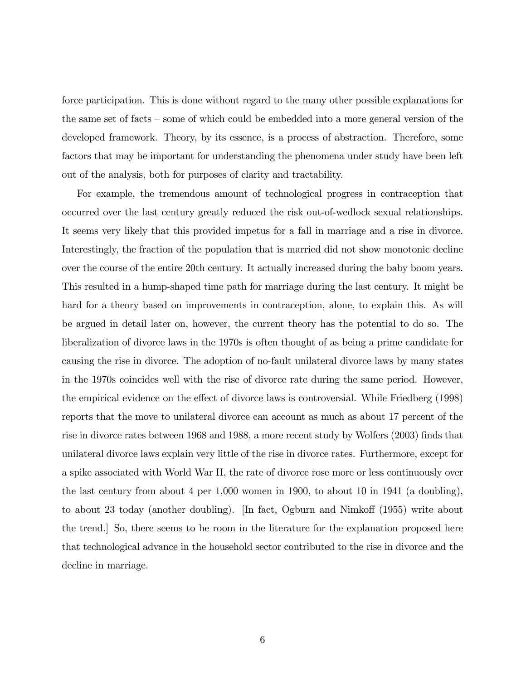force participation. This is done without regard to the many other possible explanations for the same set of facts  $\sim$  some of which could be embedded into a more general version of the developed framework. Theory, by its essence, is a process of abstraction. Therefore, some factors that may be important for understanding the phenomena under study have been left out of the analysis, both for purposes of clarity and tractability.

For example, the tremendous amount of technological progress in contraception that occurred over the last century greatly reduced the risk out-of-wedlock sexual relationships. It seems very likely that this provided impetus for a fall in marriage and a rise in divorce. Interestingly, the fraction of the population that is married did not show monotonic decline over the course of the entire 20th century. It actually increased during the baby boom years. This resulted in a hump-shaped time path for marriage during the last century. It might be hard for a theory based on improvements in contraception, alone, to explain this. As will be argued in detail later on, however, the current theory has the potential to do so. The liberalization of divorce laws in the 1970s is often thought of as being a prime candidate for causing the rise in divorce. The adoption of no-fault unilateral divorce laws by many states in the 1970s coincides well with the rise of divorce rate during the same period. However, the empirical evidence on the effect of divorce laws is controversial. While Friedberg (1998) reports that the move to unilateral divorce can account as much as about 17 percent of the rise in divorce rates between 1968 and 1988, a more recent study by Wolfers (2003) finds that unilateral divorce laws explain very little of the rise in divorce rates. Furthermore, except for a spike associated with World War II, the rate of divorce rose more or less continuously over the last century from about 4 per 1,000 women in 1900, to about 10 in 1941 (a doubling), to about 23 today (another doubling). [In fact, Ogburn and Nimkoff  $(1955)$  write about the trend.] So, there seems to be room in the literature for the explanation proposed here that technological advance in the household sector contributed to the rise in divorce and the decline in marriage.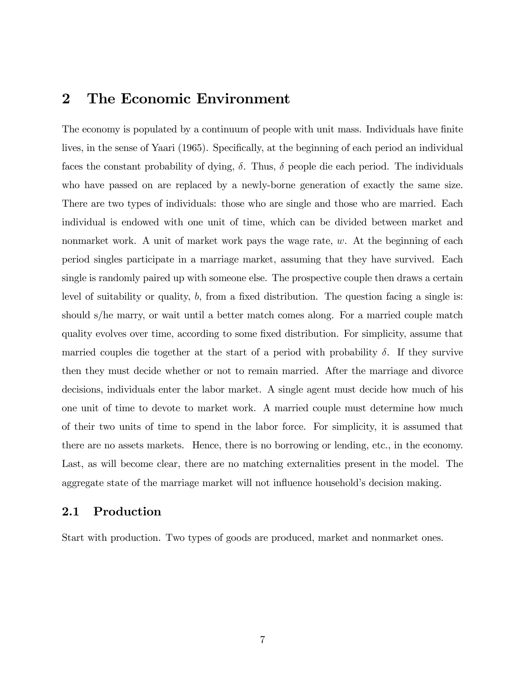# 2 The Economic Environment

The economy is populated by a continuum of people with unit mass. Individuals have finite lives, in the sense of Yaari (1965). Specifically, at the beginning of each period an individual faces the constant probability of dying,  $\delta$ . Thus,  $\delta$  people die each period. The individuals who have passed on are replaced by a newly-borne generation of exactly the same size. There are two types of individuals: those who are single and those who are married. Each individual is endowed with one unit of time, which can be divided between market and nonmarket work. A unit of market work pays the wage rate,  $w$ . At the beginning of each period singles participate in a marriage market, assuming that they have survived. Each single is randomly paired up with someone else. The prospective couple then draws a certain level of suitability or quality,  $b$ , from a fixed distribution. The question facing a single is: should s/he marry, or wait until a better match comes along. For a married couple match quality evolves over time, according to some fixed distribution. For simplicity, assume that married couples die together at the start of a period with probability  $\delta$ . If they survive then they must decide whether or not to remain married. After the marriage and divorce decisions, individuals enter the labor market. A single agent must decide how much of his one unit of time to devote to market work. A married couple must determine how much of their two units of time to spend in the labor force. For simplicity, it is assumed that there are no assets markets. Hence, there is no borrowing or lending, etc., in the economy. Last, as will become clear, there are no matching externalities present in the model. The aggregate state of the marriage market will not influence household's decision making.

## 2.1 Production

Start with production. Two types of goods are produced, market and nonmarket ones.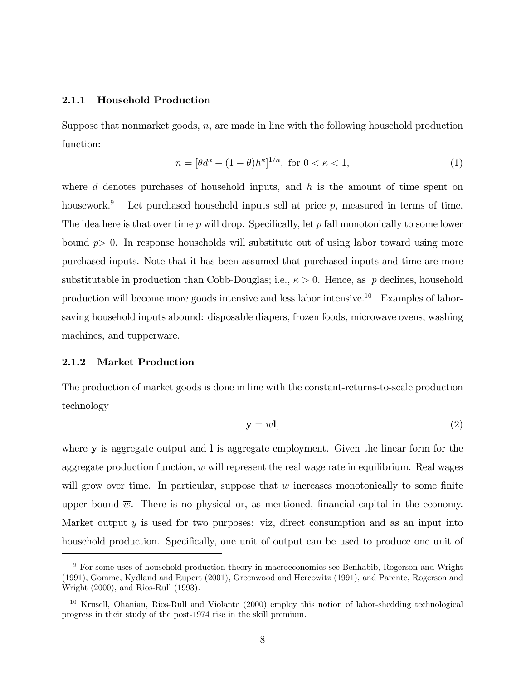#### 2.1.1 Household Production

Suppose that nonmarket goods,  $n$ , are made in line with the following household production function:

$$
n = [\theta d^{\kappa} + (1 - \theta) h^{\kappa}]^{1/\kappa}, \text{ for } 0 < \kappa < 1,
$$
 (1)

where  $d$  denotes purchases of household inputs, and  $h$  is the amount of time spent on housework.<sup>9</sup> Let purchased household inputs sell at price  $p$ , measured in terms of time. The idea here is that over time  $p$  will drop. Specifically, let  $p$  fall monotonically to some lower bound  $p > 0$ . In response households will substitute out of using labor toward using more purchased inputs. Note that it has been assumed that purchased inputs and time are more substitutable in production than Cobb-Douglas; i.e.,  $\kappa > 0$ . Hence, as p declines, household production will become more goods intensive and less labor intensive.<sup>10</sup> Examples of laborsaving household inputs abound: disposable diapers, frozen foods, microwave ovens, washing machines, and tupperware.

#### 2.1.2 Market Production

The production of market goods is done in line with the constant-returns-to-scale production technology

$$
y = w1, \tag{2}
$$

where y is aggregate output and l is aggregate employment. Given the linear form for the aggregate production function,  $w$  will represent the real wage rate in equilibrium. Real wages will grow over time. In particular, suppose that  $w$  increases monotonically to some finite upper bound  $\overline{w}$ . There is no physical or, as mentioned, financial capital in the economy. Market output  $y$  is used for two purposes: viz, direct consumption and as an input into household production. Specifically, one unit of output can be used to produce one unit of

<sup>&</sup>lt;sup>9</sup> For some uses of household production theory in macroeconomics see Benhabib, Rogerson and Wright (1991), Gomme, Kydland and Rupert (2001), Greenwood and Hercowitz (1991), and Parente, Rogerson and Wright (2000), and Rios-Rull (1993).

<sup>10</sup> Krusell, Ohanian, Rios-Rull and Violante (2000) employ this notion of labor-shedding technological progress in their study of the post-1974 rise in the skill premium.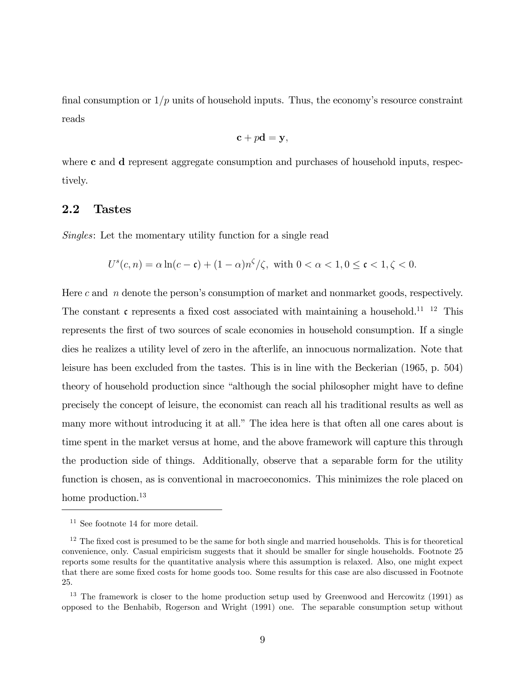final consumption or  $1/p$  units of household inputs. Thus, the economy's resource constraint reads

$$
\mathbf{c} + p\mathbf{d} = \mathbf{y},
$$

where **c** and **d** represent aggregate consumption and purchases of household inputs, respectively.

### 2.2 Tastes

Singles: Let the momentary utility function for a single read

$$
U^{s}(c, n) = \alpha \ln(c - \mathfrak{c}) + (1 - \alpha)n^{\zeta}/\zeta, \text{ with } 0 < \alpha < 1, 0 \le \mathfrak{c} < 1, \zeta < 0.
$$

Here c and  $n$  denote the person's consumption of market and nonmarket goods, respectively. The constant  $\mathfrak c$  represents a fixed cost associated with maintaining a household.<sup>11</sup> <sup>12</sup> This represents the first of two sources of scale economies in household consumption. If a single dies he realizes a utility level of zero in the afterlife, an innocuous normalization. Note that leisure has been excluded from the tastes. This is in line with the Beckerian (1965, p. 504) theory of household production since "although the social philosopher might have to define precisely the concept of leisure, the economist can reach all his traditional results as well as many more without introducing it at all." The idea here is that often all one cares about is time spent in the market versus at home, and the above framework will capture this through the production side of things. Additionally, observe that a separable form for the utility function is chosen, as is conventional in macroeconomics. This minimizes the role placed on home production.<sup>13</sup>

<sup>&</sup>lt;sup>11</sup> See footnote 14 for more detail.

 $12$  The fixed cost is presumed to be the same for both single and married households. This is for theoretical convenience, only. Casual empiricism suggests that it should be smaller for single households. Footnote 25 reports some results for the quantitative analysis where this assumption is relaxed. Also, one might expect that there are some fixed costs for home goods too. Some results for this case are also discussed in Footnote 25.

<sup>&</sup>lt;sup>13</sup> The framework is closer to the home production setup used by Greenwood and Hercowitz (1991) as opposed to the Benhabib, Rogerson and Wright (1991) one. The separable consumption setup without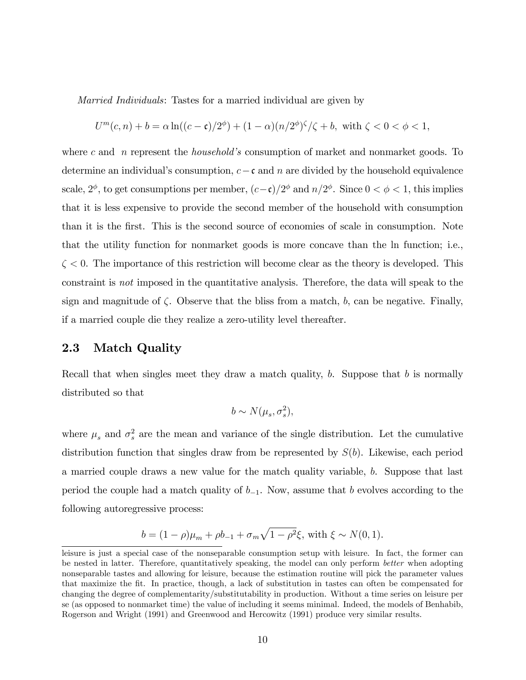Married Individuals: Tastes for a married individual are given by

$$
U^{m}(c, n) + b = \alpha \ln((c - \mathfrak{c})/2^{\phi}) + (1 - \alpha)(n/2^{\phi})^{\zeta}/\zeta + b, \text{ with } \zeta < 0 < \phi < 1,
$$

where c and n represent the *household's* consumption of market and nonmarket goods. To determine an individual's consumption,  $c - \mathfrak{c}$  and n are divided by the household equivalence scale,  $2^{\phi}$ , to get consumptions per member,  $(c-\mathfrak{c})/2^{\phi}$  and  $n/2^{\phi}$ . Since  $0 < \phi < 1$ , this implies that it is less expensive to provide the second member of the household with consumption than it is the first. This is the second source of economies of scale in consumption. Note that the utility function for nonmarket goods is more concave than the ln function; i.e.,  $\zeta$  < 0. The importance of this restriction will become clear as the theory is developed. This constraint is not imposed in the quantitative analysis. Therefore, the data will speak to the sign and magnitude of  $\zeta$ . Observe that the bliss from a match, b, can be negative. Finally, if a married couple die they realize a zero-utility level thereafter.

## 2.3 Match Quality

Recall that when singles meet they draw a match quality,  $b$ . Suppose that  $b$  is normally distributed so that

$$
b \sim N(\mu_s, \sigma_s^2),
$$

where  $\mu_s$  and  $\sigma_s^2$  are the mean and variance of the single distribution. Let the cumulative distribution function that singles draw from be represented by  $S(b)$ . Likewise, each period a married couple draws a new value for the match quality variable, b. Suppose that last period the couple had a match quality of  $b_{-1}$ . Now, assume that b evolves according to the following autoregressive process:

$$
b = (1 - \rho)\mu_m + \rho b_{-1} + \sigma_m \sqrt{1 - \rho^2} \xi, \text{ with } \xi \sim N(0, 1).
$$

leisure is just a special case of the nonseparable consumption setup with leisure. In fact, the former can be nested in latter. Therefore, quantitatively speaking, the model can only perform better when adopting nonseparable tastes and allowing for leisure, because the estimation routine will pick the parameter values that maximize the Öt. In practice, though, a lack of substitution in tastes can often be compensated for changing the degree of complementarity/substitutability in production. Without a time series on leisure per se (as opposed to nonmarket time) the value of including it seems minimal. Indeed, the models of Benhabib, Rogerson and Wright (1991) and Greenwood and Hercowitz (1991) produce very similar results.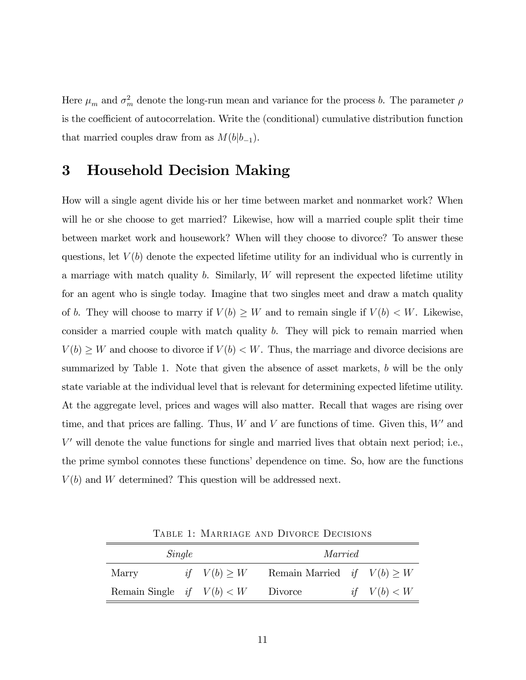Here  $\mu_m$  and  $\sigma_m^2$  denote the long-run mean and variance for the process b. The parameter  $\rho$ is the coefficient of autocorrelation. Write the (conditional) cumulative distribution function that married couples draw from as  $M(b|b_{-1})$ .

# 3 Household Decision Making

How will a single agent divide his or her time between market and nonmarket work? When will he or she choose to get married? Likewise, how will a married couple split their time between market work and housework? When will they choose to divorce? To answer these questions, let  $V(b)$  denote the expected lifetime utility for an individual who is currently in a marriage with match quality  $b$ . Similarly,  $W$  will represent the expected lifetime utility for an agent who is single today. Imagine that two singles meet and draw a match quality of b. They will choose to marry if  $V(b) \geq W$  and to remain single if  $V(b) < W$ . Likewise, consider a married couple with match quality b. They will pick to remain married when  $V(b) \geq W$  and choose to divorce if  $V(b) < W$ . Thus, the marriage and divorce decisions are summarized by Table 1. Note that given the absence of asset markets,  $b$  will be the only state variable at the individual level that is relevant for determining expected lifetime utility. At the aggregate level, prices and wages will also matter. Recall that wages are rising over time, and that prices are falling. Thus,  $W$  and  $V$  are functions of time. Given this,  $W'$  and  $V'$  will denote the value functions for single and married lives that obtain next period; i.e., the prime symbol connotes these functions' dependence on time. So, how are the functions  $V(b)$  and W determined? This question will be addressed next.

| Single                      |  |                  | Married                         |  |               |  |
|-----------------------------|--|------------------|---------------------------------|--|---------------|--|
| Marry                       |  | if $V(b) \geq W$ | Remain Married if $V(b) \geq W$ |  |               |  |
| Remain Single if $V(b) < W$ |  |                  | Divorce                         |  | if $V(b) < W$ |  |

Table 1: Marriage and Divorce Decisions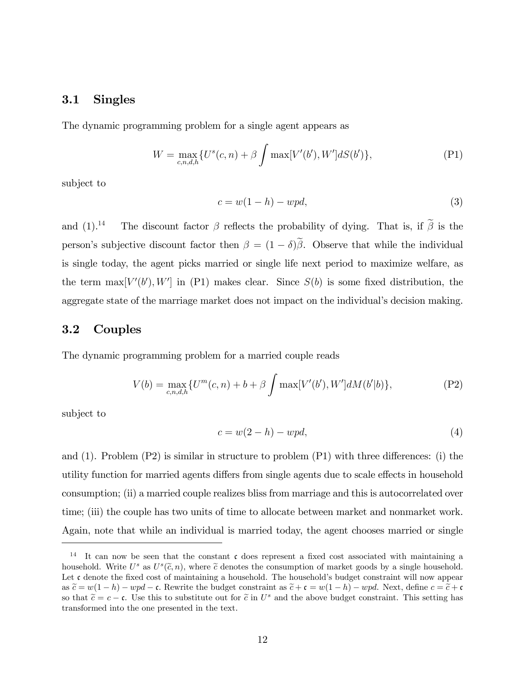## 3.1 Singles

The dynamic programming problem for a single agent appears as

$$
W = \max_{c,n,d,h} \{ U^s(c,n) + \beta \int \max[V'(b'), W'] dS(b') \},
$$
 (P1)

subject to

$$
c = w(1 - h) - wpd,\t\t(3)
$$

and  $(1).<sup>14</sup>$  The discount factor  $\beta$  reflects the probability of dying. That is, if  $\tilde{\beta}$  is the person's subjective discount factor then  $\beta = (1 - \delta)\tilde{\beta}$ . Observe that while the individual is single today, the agent picks married or single life next period to maximize welfare, as the term  $\max[V'(b'), W']$  in (P1) makes clear. Since  $S(b)$  is some fixed distribution, the aggregate state of the marriage market does not impact on the individual's decision making.

## 3.2 Couples

The dynamic programming problem for a married couple reads

$$
V(b) = \max_{c,n,d,h} \{ U^m(c,n) + b + \beta \int \max[V'(b'), W'] dM(b'|b) \},
$$
 (P2)

subject to

$$
c = w(2 - h) - wpd,\t\t(4)
$$

and  $(1)$ . Problem  $(P2)$  is similar in structure to problem  $(P1)$  with three differences: (i) the utility function for married agents differs from single agents due to scale effects in household consumption; (ii) a married couple realizes bliss from marriage and this is autocorrelated over time; (iii) the couple has two units of time to allocate between market and nonmarket work. Again, note that while an individual is married today, the agent chooses married or single

<sup>&</sup>lt;sup>14</sup> It can now be seen that the constant  $\mathfrak c$  does represent a fixed cost associated with maintaining a household. Write  $U^s$  as  $U^s(\tilde{c}, n)$ , where  $\tilde{c}$  denotes the consumption of market goods by a single household. Let  $\mathfrak c$  denote the fixed cost of maintaining a household. The household's budget constraint will now appear as  $\tilde{c} = w(1 - h) - wpd - c$ . Rewrite the budget constraint as  $\tilde{c} + c = w(1 - h) - wpd$ . Next, define  $c = \tilde{c} + c$ so that  $\tilde{c} = c - \mathfrak{c}$ . Use this to substitute out for  $\tilde{c}$  in  $U^s$  and the above budget constraint. This setting has transformed into the one presented in the text.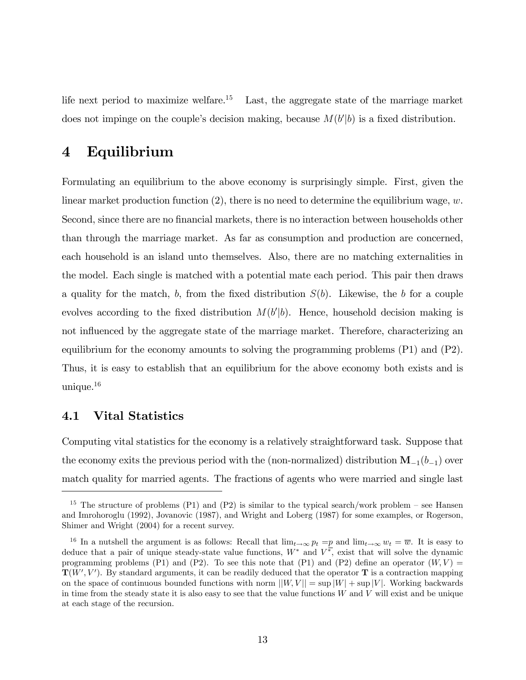life next period to maximize welfare.<sup>15</sup> Last, the aggregate state of the marriage market does not impinge on the couple's decision making, because  $M(b'|b)$  is a fixed distribution.

# 4 Equilibrium

Formulating an equilibrium to the above economy is surprisingly simple. First, given the linear market production function  $(2)$ , there is no need to determine the equilibrium wage, w. Second, since there are no financial markets, there is no interaction between households other than through the marriage market. As far as consumption and production are concerned, each household is an island unto themselves. Also, there are no matching externalities in the model. Each single is matched with a potential mate each period. This pair then draws a quality for the match, b, from the fixed distribution  $S(b)$ . Likewise, the b for a couple evolves according to the fixed distribution  $M(b'|b)$ . Hence, household decision making is not influenced by the aggregate state of the marriage market. Therefore, characterizing an equilibrium for the economy amounts to solving the programming problems (P1) and (P2). Thus, it is easy to establish that an equilibrium for the above economy both exists and is unique.<sup>16</sup>

## 4.1 Vital Statistics

Computing vital statistics for the economy is a relatively straightforward task. Suppose that the economy exits the previous period with the (non-normalized) distribution  $\mathbf{M}_{-1}(b_{-1})$  over match quality for married agents. The fractions of agents who were married and single last

<sup>&</sup>lt;sup>15</sup> The structure of problems (P1) and (P2) is similar to the typical search/work problem – see Hansen and Imrohoroglu (1992), Jovanovic (1987), and Wright and Loberg (1987) for some examples, or Rogerson, Shimer and Wright (2004) for a recent survey.

<sup>&</sup>lt;sup>16</sup> In a nutshell the argument is as follows: Recall that  $\lim_{t\to\infty} p_t = p$  and  $\lim_{t\to\infty} w_t = \overline{w}$ . It is easy to deduce that a pair of unique steady-state value functions,  $W^*$  and  $V^*$ , exist that will solve the dynamic programming problems (P1) and (P2). To see this note that (P1) and (P2) define an operator  $(W, V)$  =  $\mathbf{T}(W', V')$ . By standard arguments, it can be readily deduced that the operator T is a contraction mapping on the space of continuous bounded functions with norm  $||W,V|| = \sup |W| + \sup |V|$ . Working backwards in time from the steady state it is also easy to see that the value functions  $W$  and  $V$  will exist and be unique at each stage of the recursion.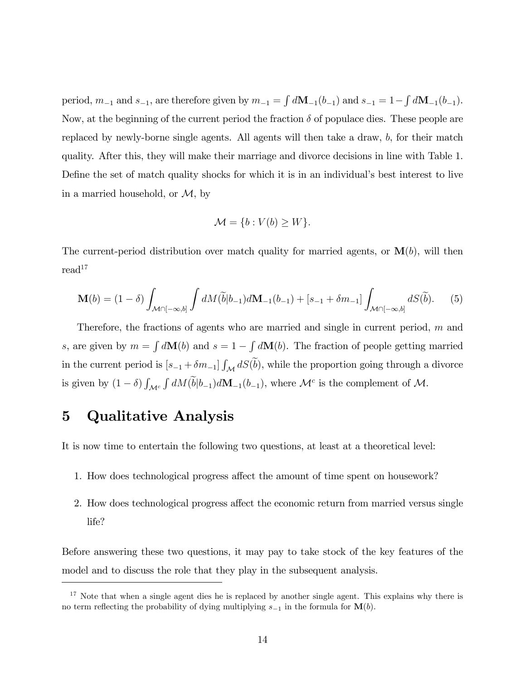period,  $m_{-1}$  and  $s_{-1}$ , are therefore given by  $m_{-1} = \int d\mathbf{M}_{-1}(b_{-1})$  and  $s_{-1} = 1 - \int d\mathbf{M}_{-1}(b_{-1})$ . Now, at the beginning of the current period the fraction  $\delta$  of populace dies. These people are replaced by newly-borne single agents. All agents will then take a draw, b, for their match quality. After this, they will make their marriage and divorce decisions in line with Table 1. Define the set of match quality shocks for which it is in an individual's best interest to live in a married household, or  $M$ , by

$$
\mathcal{M} = \{b : V(b) \ge W\}.
$$

The current-period distribution over match quality for married agents, or  $\mathbf{M}(b)$ , will then  $read<sup>17</sup>$ 

$$
\mathbf{M}(b) = (1 - \delta) \int_{\mathcal{M} \cap [-\infty, b]} \int dM(\widetilde{b}|b_{-1}) d\mathbf{M}_{-1}(b_{-1}) + [s_{-1} + \delta m_{-1}] \int_{\mathcal{M} \cap [-\infty, b]} dS(\widetilde{b}). \tag{5}
$$

Therefore, the fractions of agents who are married and single in current period,  $m$  and s, are given by  $m = \int d\mathbf{M}(b)$  and  $s = 1 - \int d\mathbf{M}(b)$ . The fraction of people getting married in the current period is  $[s_{-1} + \delta m_{-1}] \int_{\mathcal{M}} dS(\tilde{b})$ , while the proportion going through a divorce is given by  $(1 - \delta)$   $\int$  $\mathcal{M}^c$  $\int dM(\tilde{b}|b_{-1})d\mathbf{M}_{-1}(b_{-1}),$  where  $\mathcal{M}^c$  is the complement of  $\mathcal{M}$ .

# 5 Qualitative Analysis

It is now time to entertain the following two questions, at least at a theoretical level:

- 1. How does technological progress affect the amount of time spent on housework?
- 2. How does technological progress affect the economic return from married versus single life?

Before answering these two questions, it may pay to take stock of the key features of the model and to discuss the role that they play in the subsequent analysis.

<sup>&</sup>lt;sup>17</sup> Note that when a single agent dies he is replaced by another single agent. This explains why there is no term reflecting the probability of dying multiplying  $s_{-1}$  in the formula for  $\mathbf{M}(b)$ .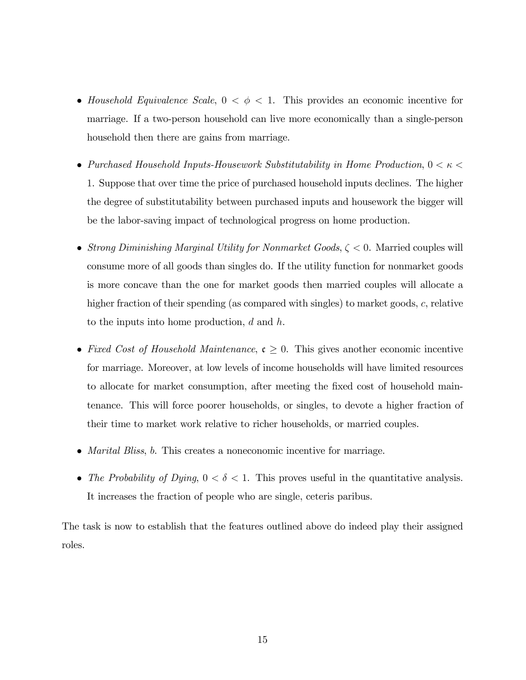- Household Equivalence Scale,  $0 < \phi < 1$ . This provides an economic incentive for marriage. If a two-person household can live more economically than a single-person household then there are gains from marriage.
- $\bullet~Purchased~Household~InputStream$  . From Production, 0  $<\kappa<$ 1. Suppose that over time the price of purchased household inputs declines. The higher the degree of substitutability between purchased inputs and housework the bigger will be the labor-saving impact of technological progress on home production.
- Strong Diminishing Marginal Utility for Nonmarket Goods,  $\zeta < 0$ . Married couples will consume more of all goods than singles do. If the utility function for nonmarket goods is more concave than the one for market goods then married couples will allocate a higher fraction of their spending (as compared with singles) to market goods, c, relative to the inputs into home production, d and h.
- Fixed Cost of Household Maintenance,  $\mathfrak{c} \geq 0$ . This gives another economic incentive for marriage. Moreover, at low levels of income households will have limited resources to allocate for market consumption, after meeting the fixed cost of household maintenance. This will force poorer households, or singles, to devote a higher fraction of their time to market work relative to richer households, or married couples.
- *Marital Bliss*, *b*. This creates a noneconomic incentive for marriage.
- The Probability of Dying,  $0 < \delta < 1$ . This proves useful in the quantitative analysis. It increases the fraction of people who are single, ceteris paribus.

The task is now to establish that the features outlined above do indeed play their assigned roles.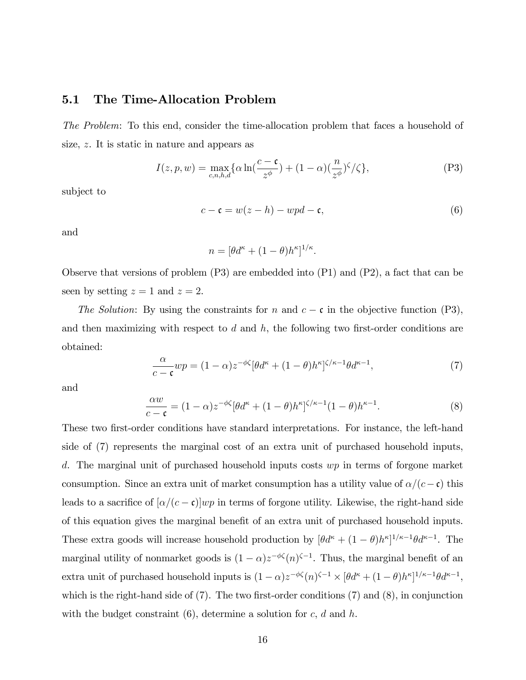## 5.1 The Time-Allocation Problem

The Problem: To this end, consider the time-allocation problem that faces a household of size, z. It is static in nature and appears as

$$
I(z,p,w) = \max_{c,n,h,d} \{ \alpha \ln(\frac{c-c}{z^{\phi}}) + (1-\alpha)(\frac{n}{z^{\phi}})^{\zeta}/\zeta \},
$$
 (P3)

subject to

$$
c - \mathfrak{c} = w(z - h) - wpd - \mathfrak{c},\tag{6}
$$

and

$$
n = [\theta d^{\kappa} + (1 - \theta) h^{\kappa}]^{1/\kappa}.
$$

Observe that versions of problem (P3) are embedded into (P1) and (P2), a fact that can be seen by setting  $z = 1$  and  $z = 2$ .

The Solution: By using the constraints for n and  $c - \mathfrak{c}$  in the objective function (P3), and then maximizing with respect to  $d$  and  $h$ , the following two first-order conditions are obtained:

$$
\frac{\alpha}{c-\mathfrak{c}}wp = (1-\alpha)z^{-\phi\zeta}[\theta d^{\kappa} + (1-\theta)h^{\kappa}]^{\zeta/\kappa-1}\theta d^{\kappa-1},\tag{7}
$$

and

$$
\frac{\alpha w}{c - \mathfrak{c}} = (1 - \alpha) z^{-\phi \zeta} [\theta d^{\kappa} + (1 - \theta) h^{\kappa}]^{\zeta/\kappa - 1} (1 - \theta) h^{\kappa - 1}.
$$
 (8)

These two first-order conditions have standard interpretations. For instance, the left-hand side of (7) represents the marginal cost of an extra unit of purchased household inputs, d. The marginal unit of purchased household inputs costs  $wp$  in terms of forgone market consumption. Since an extra unit of market consumption has a utility value of  $\alpha/(c-\mathfrak{c})$  this leads to a sacrifice of  $[\alpha/(c - \mathfrak{c})]wp$  in terms of forgone utility. Likewise, the right-hand side of this equation gives the marginal benefit of an extra unit of purchased household inputs. These extra goods will increase household production by  $[\theta d^{\kappa} + (1 - \theta)h^{\kappa}]^{1/\kappa - 1}\theta d^{\kappa - 1}$ . The marginal utility of nonmarket goods is  $(1 - \alpha)z^{-\phi\zeta}(n)^{\zeta - 1}$ . Thus, the marginal benefit of an extra unit of purchased household inputs is  $(1 - \alpha)z^{-\phi\zeta}(n)^{\zeta-1} \times [\theta d^{\kappa} + (1 - \theta)h^{\kappa}]^{1/\kappa-1}\theta d^{\kappa-1},$ which is the right-hand side of  $(7)$ . The two first-order conditions  $(7)$  and  $(8)$ , in conjunction with the budget constraint  $(6)$ , determine a solution for c, d and h.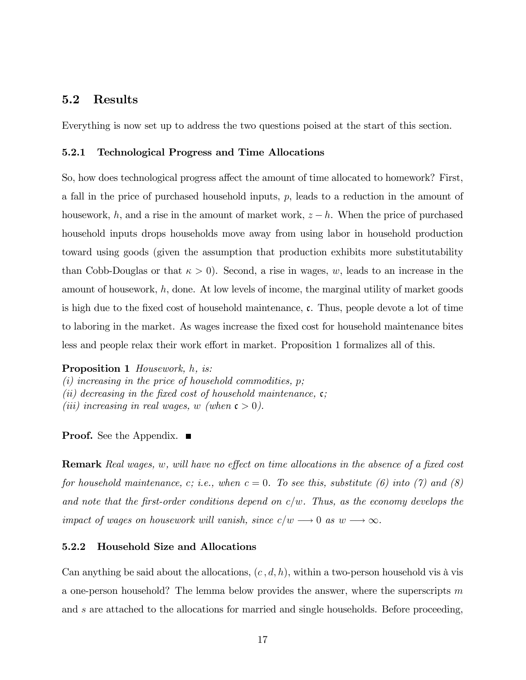## 5.2 Results

Everything is now set up to address the two questions poised at the start of this section.

#### 5.2.1 Technological Progress and Time Allocations

So, how does technological progress affect the amount of time allocated to homework? First, a fall in the price of purchased household inputs,  $p$ , leads to a reduction in the amount of housework, h, and a rise in the amount of market work,  $z - h$ . When the price of purchased household inputs drops households move away from using labor in household production toward using goods (given the assumption that production exhibits more substitutability than Cobb-Douglas or that  $\kappa > 0$ . Second, a rise in wages, w, leads to an increase in the amount of housework,  $h$ , done. At low levels of income, the marginal utility of market goods is high due to the fixed cost of household maintenance,  $\mathfrak{c}$ . Thus, people devote a lot of time to laboring in the market. As wages increase the Öxed cost for household maintenance bites less and people relax their work effort in market. Proposition 1 formalizes all of this.

Proposition 1 Housework, h, is: (i) increasing in the price of household commodities,  $p$ ; (ii) decreasing in the fixed cost of household maintenance,  $\mathfrak{c}$ ; (iii) increasing in real wages, w (when  $\mathfrak{c} > 0$ ).

**Proof.** See the Appendix. ■

**Remark** Real wages, w, will have no effect on time allocations in the absence of a fixed cost for household maintenance, c; i.e., when  $c = 0$ . To see this, substitute (6) into (7) and (8) and note that the first-order conditions depend on  $c/w$ . Thus, as the economy develops the impact of wages on housework will vanish, since  $c/w \longrightarrow 0$  as  $w \longrightarrow \infty$ .

#### 5.2.2 Household Size and Allocations

Can anything be said about the allocations,  $(c, d, h)$ , within a two-person household vis à vis a one-person household? The lemma below provides the answer, where the superscripts m and s are attached to the allocations for married and single households. Before proceeding,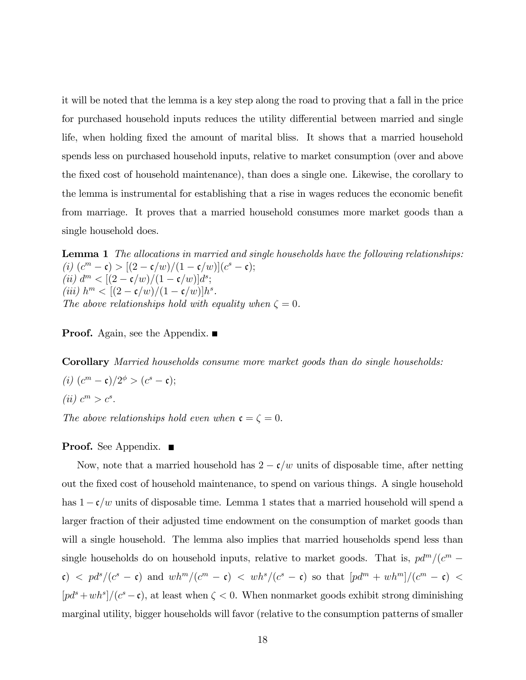it will be noted that the lemma is a key step along the road to proving that a fall in the price for purchased household inputs reduces the utility differential between married and single life, when holding fixed the amount of marital bliss. It shows that a married household spends less on purchased household inputs, relative to market consumption (over and above the fixed cost of household maintenance), than does a single one. Likewise, the corollary to the lemma is instrumental for establishing that a rise in wages reduces the economic benefit from marriage. It proves that a married household consumes more market goods than a single household does.

**Lemma 1** The allocations in married and single households have the following relationships: (i)  $(c^m - c) > [(2 - c/w)/(1 - c/w)](c^s - c);$ (*ii*)  $d^m < [(2 - \mathfrak{c}/w)/(1 - \mathfrak{c}/w)]d^s;$ (*iii*)  $h^m < [(2 - c/w)/(1 - c/w)]h^s$ . The above relationships hold with equality when  $\zeta = 0$ .

**Proof.** Again, see the Appendix.  $\blacksquare$ 

Corollary Married households consume more market goods than do single households: (*i*)  $(c^m - c)/2^{\phi} > (c^s - c);$ (*ii*)  $c^m > c^s$ .

The above relationships hold even when  $\mathfrak{c} = \zeta = 0$ .

#### **Proof.** See Appendix. ■

Now, note that a married household has  $2 - \mathfrak{c}/w$  units of disposable time, after netting out the fixed cost of household maintenance, to spend on various things. A single household has  $1 - c/w$  units of disposable time. Lemma 1 states that a married household will spend a larger fraction of their adjusted time endowment on the consumption of market goods than will a single household. The lemma also implies that married households spend less than single households do on household inputs, relative to market goods. That is,  $pd^m/(c^m \epsilon$ )  $\langle$   $\epsilon$   $\rho d^{s}/(c^{s} - \epsilon)$  and  $wh^{m}/(c^{m} - \epsilon)$   $\langle$   $wh^{s}/(c^{s} - \epsilon)$  so that  $[pd^{m} + wh^{m}]/(c^{m} - \epsilon)$   $\langle$  $[pd<sup>s</sup> + wh<sup>s</sup>]/(c<sup>s</sup> - c)$ , at least when  $\zeta < 0$ . When nonmarket goods exhibit strong diminishing marginal utility, bigger households will favor (relative to the consumption patterns of smaller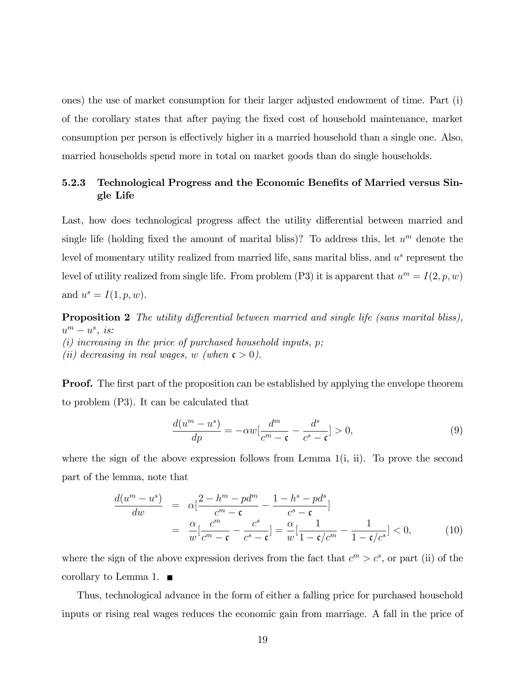ones) the use of market consumption for their larger adjusted endowment of time. Part (i) of the corollary states that after paying the Öxed cost of household maintenance, market consumption per person is effectively higher in a married household than a single one. Also, married households spend more in total on market goods than do single households.

## 5.2.3 Technological Progress and the Economic Benefits of Married versus Single Life

Last, how does technological progress affect the utility differential between married and single life (holding fixed the amount of marital bliss)? To address this, let  $u^m$  denote the level of momentary utility realized from married life, sans marital bliss, and  $u<sup>s</sup>$  represent the level of utility realized from single life. From problem (P3) it is apparent that  $u^m = I(2, p, w)$ and  $u^s = I(1, p, w)$ .

**Proposition 2** The utility differential between married and single life (sans marital bliss),  $u^m - u^s$ , is: (i) increasing in the price of purchased household inputs,  $p$ ; (ii) decreasing in real wages, w (when  $\mathfrak{c} > 0$ ).

**Proof.** The first part of the proposition can be established by applying the envelope theorem to problem (P3). It can be calculated that

$$
\frac{d(u^m - u^s)}{dp} = -\alpha w \left[\frac{d^m}{c^m - \mathfrak{c}} - \frac{d^s}{c^s - \mathfrak{c}}\right] > 0,\tag{9}
$$

where the sign of the above expression follows from Lemma  $1(i, ii)$ . To prove the second part of the lemma, note that

$$
\frac{d(u^m - u^s)}{dw} = \alpha \left[ \frac{2 - h^m - p d^m}{c^m - \mathfrak{c}} - \frac{1 - h^s - p d^s}{c^s - \mathfrak{c}} \right]
$$
\n
$$
= \frac{\alpha}{w} \left[ \frac{c^m}{c^m - \mathfrak{c}} - \frac{c^s}{c^s - \mathfrak{c}} \right] = \frac{\alpha}{w} \left[ \frac{1}{1 - \mathfrak{c}/c^m} - \frac{1}{1 - \mathfrak{c}/c^s} \right] < 0,\tag{10}
$$

where the sign of the above expression derives from the fact that  $c^m > c^s$ , or part (ii) of the corollary to Lemma 1.  $\blacksquare$ 

Thus, technological advance in the form of either a falling price for purchased household inputs or rising real wages reduces the economic gain from marriage. A fall in the price of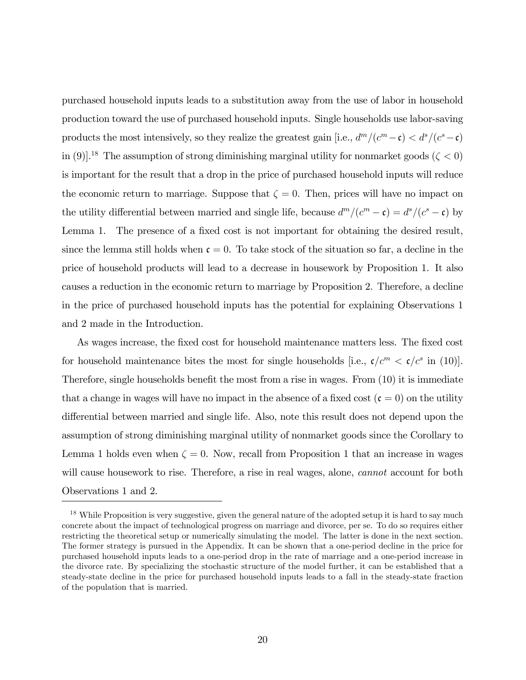purchased household inputs leads to a substitution away from the use of labor in household production toward the use of purchased household inputs. Single households use labor-saving products the most intensively, so they realize the greatest gain [i.e.,  $d^m/(c^m - \mathfrak{c}) < d^s/(c^s - \mathfrak{c})$ in (9)].<sup>18</sup> The assumption of strong diminishing marginal utility for nonmarket goods ( $\zeta$  < 0) is important for the result that a drop in the price of purchased household inputs will reduce the economic return to marriage. Suppose that  $\zeta = 0$ . Then, prices will have no impact on the utility differential between married and single life, because  $d^m/(c^m - \mathfrak{c}) = d^s/(c^s - \mathfrak{c})$  by Lemma 1. The presence of a fixed cost is not important for obtaining the desired result, since the lemma still holds when  $c = 0$ . To take stock of the situation so far, a decline in the price of household products will lead to a decrease in housework by Proposition 1. It also causes a reduction in the economic return to marriage by Proposition 2. Therefore, a decline in the price of purchased household inputs has the potential for explaining Observations 1 and 2 made in the Introduction.

As wages increase, the fixed cost for household maintenance matters less. The fixed cost for household maintenance bites the most for single households [i.e.,  $\mathfrak{c}/c^m < \mathfrak{c}/c^s$  in (10)]. Therefore, single households benefit the most from a rise in wages. From  $(10)$  it is immediate that a change in wages will have no impact in the absence of a fixed cost  $(c = 0)$  on the utility differential between married and single life. Also, note this result does not depend upon the assumption of strong diminishing marginal utility of nonmarket goods since the Corollary to Lemma 1 holds even when  $\zeta = 0$ . Now, recall from Proposition 1 that an increase in wages will cause housework to rise. Therefore, a rise in real wages, alone, *cannot* account for both Observations 1 and 2.

<sup>&</sup>lt;sup>18</sup> While Proposition is very suggestive, given the general nature of the adopted setup it is hard to say much concrete about the impact of technological progress on marriage and divorce, per se. To do so requires either restricting the theoretical setup or numerically simulating the model. The latter is done in the next section. The former strategy is pursued in the Appendix. It can be shown that a one-period decline in the price for purchased household inputs leads to a one-period drop in the rate of marriage and a one-period increase in the divorce rate. By specializing the stochastic structure of the model further, it can be established that a steady-state decline in the price for purchased household inputs leads to a fall in the steady-state fraction of the population that is married.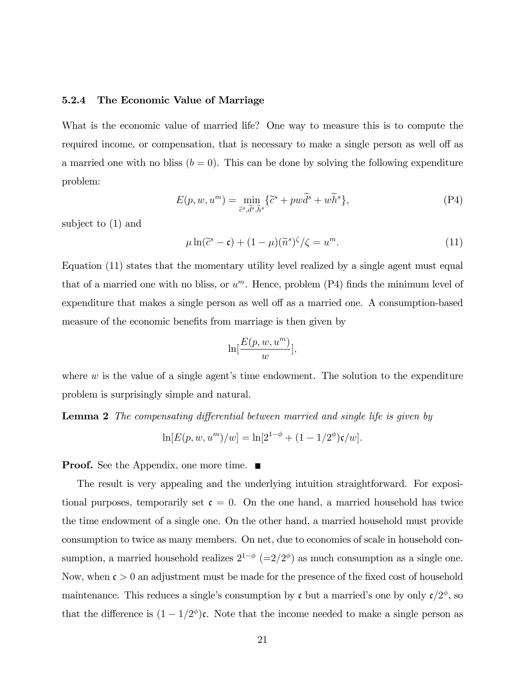#### 5.2.4 The Economic Value of Marriage

What is the economic value of married life? One way to measure this is to compute the required income, or compensation, that is necessary to make a single person as well off as a married one with no bliss  $(b = 0)$ . This can be done by solving the following expenditure problem:

$$
E(p, w, um) = \min_{\tilde{c}^s, \tilde{d}^s, \tilde{h}^s} {\tilde{c}^s + pw\tilde{d}^s + w\tilde{h}^s},
$$
 (P4)

subject to (1) and

$$
\mu \ln(\tilde{c}^s - \mathfrak{c}) + (1 - \mu)(\tilde{n}^s)^{\zeta}/\zeta = u^m.
$$
 (11)

Equation (11) states that the momentary utility level realized by a single agent must equal that of a married one with no bliss, or  $u^m$ . Hence, problem (P4) finds the minimum level of expenditure that makes a single person as well off as a married one. A consumption-based measure of the economic benefits from marriage is then given by

$$
\ln[\frac{E(p, w, u^{m})}{w}],
$$

where  $w$  is the value of a single agent's time endowment. The solution to the expenditure problem is surprisingly simple and natural.

**Lemma 2** The compensating differential between married and single life is given by

$$
\ln[E(p, w, u^{m})/w] = \ln[2^{1-\phi} + (1 - 1/2^{\phi})\mathfrak{c}/w].
$$

**Proof.** See the Appendix, one more time.  $\blacksquare$ 

The result is very appealing and the underlying intuition straightforward. For expositional purposes, temporarily set  $\mathfrak{c} = 0$ . On the one hand, a married household has twice the time endowment of a single one. On the other hand, a married household must provide consumption to twice as many members. On net, due to economies of scale in household consumption, a married household realizes  $2^{1-\phi}$  (=2/2<sup> $\phi$ </sup>) as much consumption as a single one. Now, when  $\mathfrak{c} > 0$  an adjustment must be made for the presence of the fixed cost of household maintenance. This reduces a single's consumption by c but a married's one by only  $\mathfrak{c}/2^{\phi}$ , so that the difference is  $(1 - 1/2^{\phi})c$ . Note that the income needed to make a single person as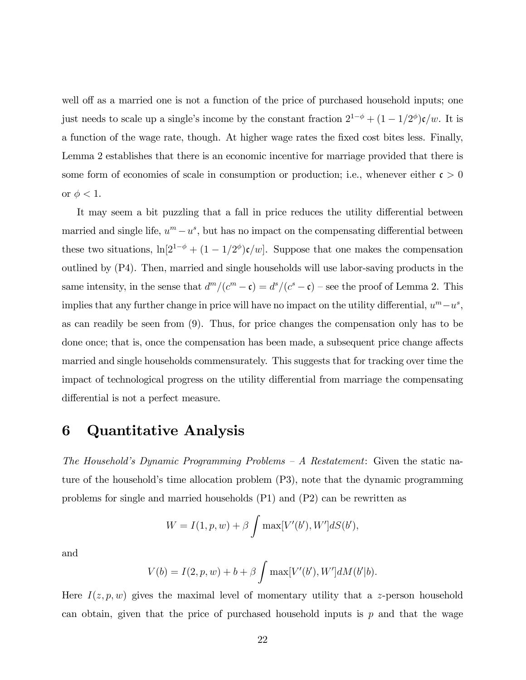well off as a married one is not a function of the price of purchased household inputs; one just needs to scale up a single's income by the constant fraction  $2^{1-\phi} + (1 - 1/2^{\phi})c/w$ . It is a function of the wage rate, though. At higher wage rates the Öxed cost bites less. Finally, Lemma 2 establishes that there is an economic incentive for marriage provided that there is some form of economies of scale in consumption or production; i.e., whenever either  $\mathfrak{c} > 0$ or  $\phi < 1$ .

It may seem a bit puzzling that a fall in price reduces the utility differential between married and single life,  $u^m - u^s$ , but has no impact on the compensating differential between these two situations,  $\ln[2^{1-\phi} + (1-1/2^{\phi})\mathfrak{c}/w]$ . Suppose that one makes the compensation outlined by (P4). Then, married and single households will use labor-saving products in the same intensity, in the sense that  $d^m/(c^m - \mathfrak{c}) = d^s/(c^s - \mathfrak{c})$  – see the proof of Lemma 2. This implies that any further change in price will have no impact on the utility differential,  $u^m - u^s$ , as can readily be seen from (9). Thus, for price changes the compensation only has to be done once; that is, once the compensation has been made, a subsequent price change affects married and single households commensurately. This suggests that for tracking over time the impact of technological progress on the utility differential from marriage the compensating differential is not a perfect measure.

# 6 Quantitative Analysis

The Household's Dynamic Programming Problems  $-A$  Restatement: Given the static nature of the household's time allocation problem (P3), note that the dynamic programming problems for single and married households (P1) and (P2) can be rewritten as

$$
W = I(1, p, w) + \beta \int \max[V'(b'), W'] dS(b'),
$$

and

$$
V(b) = I(2, p, w) + b + \beta \int \max[V'(b'), W'] dM(b'|b).
$$

Here  $I(z, p, w)$  gives the maximal level of momentary utility that a z-person household can obtain, given that the price of purchased household inputs is  $p$  and that the wage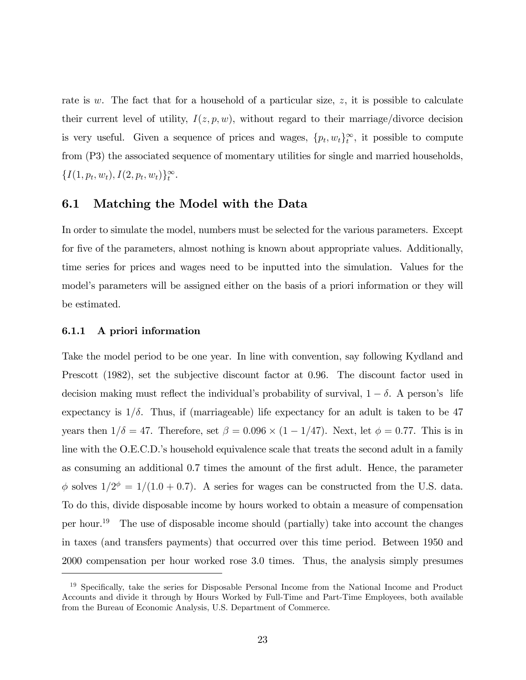rate is w. The fact that for a household of a particular size,  $z$ , it is possible to calculate their current level of utility,  $I(z, p, w)$ , without regard to their marriage/divorce decision is very useful. Given a sequence of prices and wages,  $\{p_t, w_t\}_{t}^{\infty}$ , it possible to compute from (P3) the associated sequence of momentary utilities for single and married households,  $\{I(1, p_t, w_t), I(2, p_t, w_t)\}_t^{\infty}.$ 

## 6.1 Matching the Model with the Data

In order to simulate the model, numbers must be selected for the various parameters. Except for five of the parameters, almost nothing is known about appropriate values. Additionally, time series for prices and wages need to be inputted into the simulation. Values for the model's parameters will be assigned either on the basis of a priori information or they will be estimated.

#### 6.1.1 A priori information

Take the model period to be one year. In line with convention, say following Kydland and Prescott (1982), set the subjective discount factor at 0.96. The discount factor used in decision making must reflect the individual's probability of survival,  $1 - \delta$ . A person's life expectancy is  $1/\delta$ . Thus, if (marriageable) life expectancy for an adult is taken to be 47 years then  $1/\delta = 47$ . Therefore, set  $\beta = 0.096 \times (1 - 1/47)$ . Next, let  $\phi = 0.77$ . This is in line with the O.E.C.D.'s household equivalence scale that treats the second adult in a family as consuming an additional 0.7 times the amount of the Örst adult. Hence, the parameter  $\phi$  solves  $1/2^{\phi} = 1/(1.0 + 0.7)$ . A series for wages can be constructed from the U.S. data. To do this, divide disposable income by hours worked to obtain a measure of compensation per hour.<sup>19</sup> The use of disposable income should (partially) take into account the changes in taxes (and transfers payments) that occurred over this time period. Between 1950 and 2000 compensation per hour worked rose 3.0 times. Thus, the analysis simply presumes

 $19$  Specifically, take the series for Disposable Personal Income from the National Income and Product Accounts and divide it through by Hours Worked by Full-Time and Part-Time Employees, both available from the Bureau of Economic Analysis, U.S. Department of Commerce.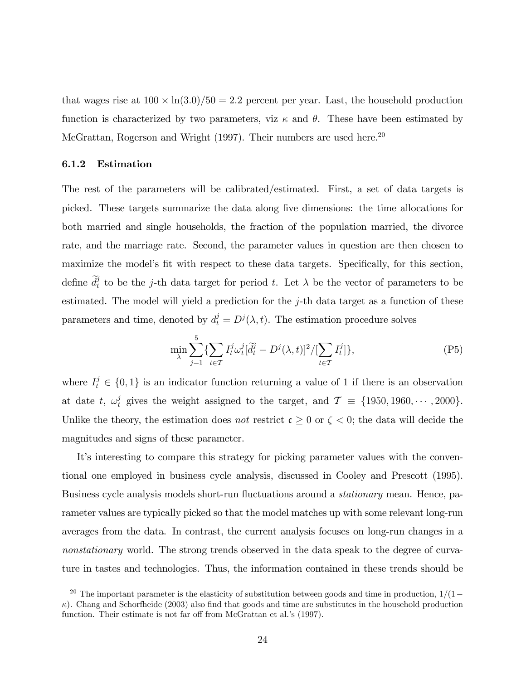that wages rise at  $100 \times \ln(3.0)/50 = 2.2$  percent per year. Last, the household production function is characterized by two parameters, viz  $\kappa$  and  $\theta$ . These have been estimated by McGrattan, Rogerson and Wright (1997). Their numbers are used here.<sup>20</sup>

#### 6.1.2 Estimation

The rest of the parameters will be calibrated/estimated. First, a set of data targets is picked. These targets summarize the data along Öve dimensions: the time allocations for both married and single households, the fraction of the population married, the divorce rate, and the marriage rate. Second, the parameter values in question are then chosen to maximize the model's fit with respect to these data targets. Specifically, for this section, define  $\tilde{d}_t^j$  to be the j-th data target for period t. Let  $\lambda$  be the vector of parameters to be estimated. The model will yield a prediction for the j-th data target as a function of these parameters and time, denoted by  $d_t^j = D^j(\lambda, t)$ . The estimation procedure solves

$$
\min_{\lambda} \sum_{j=1}^{5} \{ \sum_{t \in \mathcal{T}} I_t^j \omega_t^j [\tilde{d}_t^j - D^j(\lambda, t)]^2 / [\sum_{t \in \mathcal{T}} I_t^j] \},\tag{P5}
$$

where  $I_t^j \in \{0,1\}$  is an indicator function returning a value of 1 if there is an observation at date t,  $\omega_t^j$  gives the weight assigned to the target, and  $\mathcal{T} = \{1950, 1960, \cdots, 2000\}.$ Unlike the theory, the estimation does not restrict  $\mathfrak{c} \geq 0$  or  $\zeta < 0$ ; the data will decide the magnitudes and signs of these parameter.

It's interesting to compare this strategy for picking parameter values with the conventional one employed in business cycle analysis, discussed in Cooley and Prescott (1995). Business cycle analysis models short-run fluctuations around a *stationary* mean. Hence, parameter values are typically picked so that the model matches up with some relevant long-run averages from the data. In contrast, the current analysis focuses on long-run changes in a nonstationary world. The strong trends observed in the data speak to the degree of curvature in tastes and technologies. Thus, the information contained in these trends should be

<sup>&</sup>lt;sup>20</sup> The important parameter is the elasticity of substitution between goods and time in production,  $1/(1-\epsilon)$  $\kappa$ ). Chang and Schorfheide (2003) also find that goods and time are substitutes in the household production function. Their estimate is not far off from McGrattan et al.'s (1997).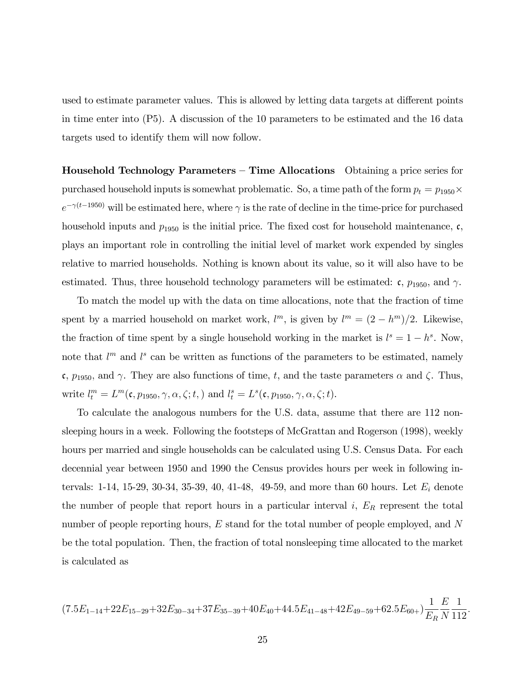used to estimate parameter values. This is allowed by letting data targets at different points in time enter into (P5). A discussion of the 10 parameters to be estimated and the 16 data targets used to identify them will now follow.

**Household Technology Parameters – Time Allocations** Obtaining a price series for purchased household inputs is somewhat problematic. So, a time path of the form  $p_t = p_{1950} \times$  $e^{-\gamma(t-1950)}$  will be estimated here, where  $\gamma$  is the rate of decline in the time-price for purchased household inputs and  $p_{1950}$  is the initial price. The fixed cost for household maintenance, c, plays an important role in controlling the initial level of market work expended by singles relative to married households. Nothing is known about its value, so it will also have to be estimated. Thus, three household technology parameters will be estimated:  $\mathfrak{c}$ ,  $p_{1950}$ , and  $\gamma$ .

To match the model up with the data on time allocations, note that the fraction of time spent by a married household on market work,  $l^m$ , is given by  $l^m = (2 - h^m)/2$ . Likewise, the fraction of time spent by a single household working in the market is  $l^s = 1 - h^s$ . Now, note that  $l^m$  and  $l^s$  can be written as functions of the parameters to be estimated, namely c,  $p_{1950}$ , and  $\gamma$ . They are also functions of time, t, and the taste parameters  $\alpha$  and  $\zeta$ . Thus, write  $l_t^m = L^m(\mathfrak{c}, p_{1950}, \gamma, \alpha, \zeta; t)$  and  $l_t^s = L^s(\mathfrak{c}, p_{1950}, \gamma, \alpha, \zeta; t)$ .

To calculate the analogous numbers for the U.S. data, assume that there are 112 nonsleeping hours in a week. Following the footsteps of McGrattan and Rogerson (1998), weekly hours per married and single households can be calculated using U.S. Census Data. For each decennial year between 1950 and 1990 the Census provides hours per week in following intervals: 1-14, 15-29, 30-34, 35-39, 40, 41-48, 49-59, and more than 60 hours. Let  $E_i$  denote the number of people that report hours in a particular interval  $i$ ,  $E_R$  represent the total number of people reporting hours, E stand for the total number of people employed, and N be the total population. Then, the fraction of total nonsleeping time allocated to the market is calculated as

$$
(7.5E_{1-14}+22E_{15-29}+32E_{30-34}+37E_{35-39}+40E_{40}+44.5E_{41-48}+42E_{49-59}+62.5E_{60+})\frac{1}{E_R}\frac{E}{N}\frac{1}{112}
$$

: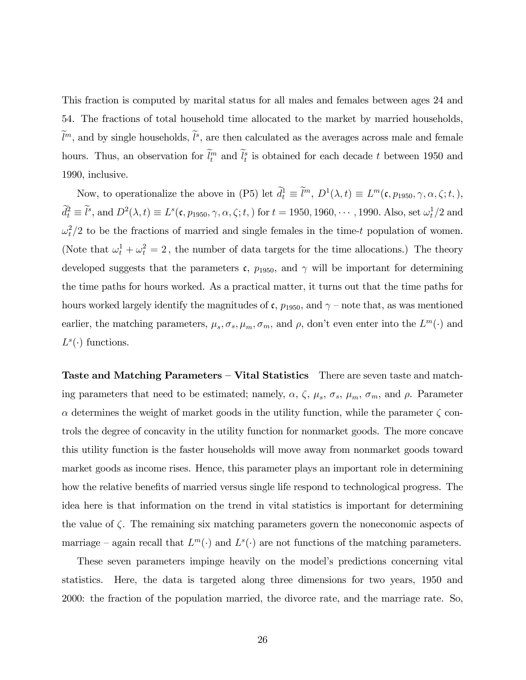This fraction is computed by marital status for all males and females between ages 24 and 54. The fractions of total household time allocated to the market by married households,  $\ell^m$ , and by single households,  $\ell^s$ , are then calculated as the averages across male and female hours. Thus, an observation for  $l_t^m$  and  $l_t^s$  is obtained for each decade t between 1950 and 1990, inclusive.

Now, to operationalize the above in (P5) let  $d_t^1 \equiv l^m$ ,  $D^1(\lambda, t) \equiv L^m(\mathfrak{c}, p_{1950}, \gamma, \alpha, \zeta; t)$ ,  $d_t^2 \equiv l^s$ , and  $D^2(\lambda, t) \equiv L^s(\mathfrak{c}, p_{1950}, \gamma, \alpha, \zeta; t)$  for  $t = 1950, 1960, \cdots, 1990$ . Also, set  $\omega_t^1/2$  and  $\omega_t^2/2$  to be the fractions of married and single females in the time-t population of women. (Note that  $\omega_t^1 + \omega_t^2 = 2$ , the number of data targets for the time allocations.) The theory developed suggests that the parameters  $\mathfrak{c}$ ,  $p_{1950}$ , and  $\gamma$  will be important for determining the time paths for hours worked. As a practical matter, it turns out that the time paths for hours worked largely identify the magnitudes of  $\mathfrak{c}$ ,  $p_{1950}$ , and  $\gamma$  – note that, as was mentioned earlier, the matching parameters,  $\mu_s$ ,  $\sigma_s$ ,  $\mu_m$ ,  $\sigma_m$ , and  $\rho$ , don't even enter into the  $L^m(\cdot)$  and  $L^s(\cdot)$  functions.

Taste and Matching Parameters  $-$  Vital Statistics There are seven taste and matching parameters that need to be estimated; namely,  $\alpha$ ,  $\zeta$ ,  $\mu_s$ ,  $\sigma_s$ ,  $\mu_m$ ,  $\sigma_m$ , and  $\rho$ . Parameter  $\alpha$  determines the weight of market goods in the utility function, while the parameter  $\zeta$  controls the degree of concavity in the utility function for nonmarket goods. The more concave this utility function is the faster households will move away from nonmarket goods toward market goods as income rises. Hence, this parameter plays an important role in determining how the relative benefits of married versus single life respond to technological progress. The idea here is that information on the trend in vital statistics is important for determining the value of  $\zeta$ . The remaining six matching parameters govern the noneconomic aspects of marriage – again recall that  $L^m(\cdot)$  and  $L^s(\cdot)$  are not functions of the matching parameters.

These seven parameters impinge heavily on the model's predictions concerning vital statistics. Here, the data is targeted along three dimensions for two years, 1950 and 2000: the fraction of the population married, the divorce rate, and the marriage rate. So,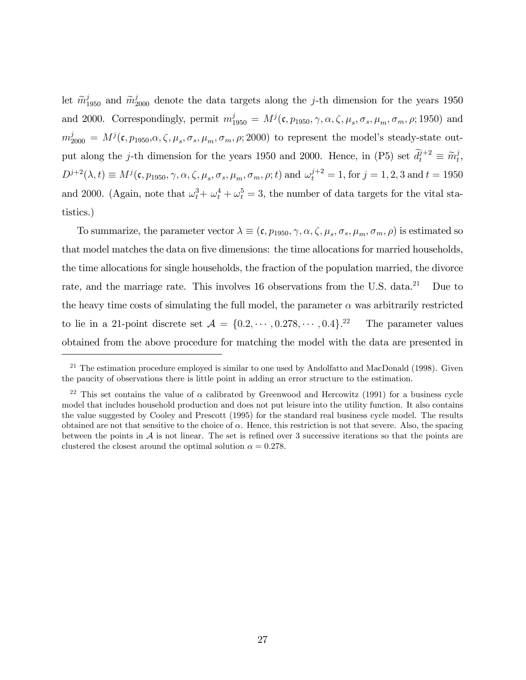let  $\tilde{m}_{1950}^j$  and  $\tilde{m}_{2000}^j$  denote the data targets along the j-th dimension for the years 1950 and 2000. Correspondingly, permit  $m_{1950}^j = M^j(\mathfrak{c}, p_{1950}, \gamma, \alpha, \zeta, \mu_s, \sigma_s, \mu_m, \sigma_m, \rho; 1950)$  and  $m_{2000}^j = M^j(\mathfrak{c}, p_{1950}, \alpha, \zeta, \mu_s, \sigma_s, \mu_m, \sigma_m, \rho; 2000)$  to represent the model's steady-state output along the *j*-th dimension for the years 1950 and 2000. Hence, in (P5) set  $\tilde{d}_t^{j+2} \equiv \tilde{m}_t^j$  $_t^j,$  $D^{j+2}(\lambda, t) \equiv M^{j}(\mathfrak{c}, p_{1950}, \gamma, \alpha, \zeta, \mu_s, \sigma_s, \mu_m, \sigma_m, \rho; t)$  and  $\omega_t^{j+2} = 1$ , for  $j = 1, 2, 3$  and  $t = 1950$ and 2000. (Again, note that  $\omega_t^3 + \omega_t^4 + \omega_t^5 = 3$ , the number of data targets for the vital statistics.)

To summarize, the parameter vector  $\lambda \equiv (\mathfrak{c}, p_{1950}, \gamma, \alpha, \zeta, \mu_s, \sigma_s, \mu_m, \sigma_m, \rho)$  is estimated so that model matches the data on five dimensions: the time allocations for married households, the time allocations for single households, the fraction of the population married, the divorce rate, and the marriage rate. This involves 16 observations from the U.S. data.<sup>21</sup> Due to the heavy time costs of simulating the full model, the parameter  $\alpha$  was arbitrarily restricted to lie in a 21-point discrete set  $A = \{0.2, \dots, 0.278, \dots, 0.4\}$ .<sup>22</sup> The parameter values obtained from the above procedure for matching the model with the data are presented in

 $21$  The estimation procedure employed is similar to one used by Andolfatto and MacDonald (1998). Given the paucity of observations there is little point in adding an error structure to the estimation.

<sup>&</sup>lt;sup>22</sup> This set contains the value of  $\alpha$  calibrated by Greenwood and Hercowitz (1991) for a business cycle model that includes household production and does not put leisure into the utility function. It also contains the value suggested by Cooley and Prescott (1995) for the standard real business cycle model. The results obtained are not that sensitive to the choice of  $\alpha$ . Hence, this restriction is not that severe. Also, the spacing between the points in  $A$  is not linear. The set is refined over 3 successive iterations so that the points are clustered the closest around the optimal solution  $\alpha = 0.278$ .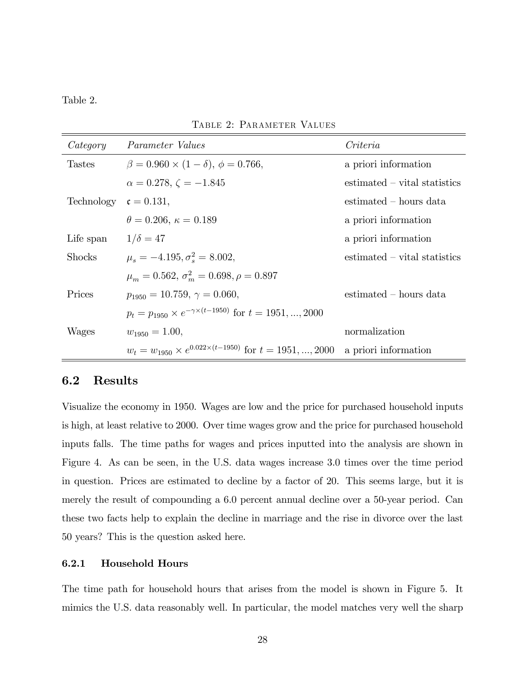#### Table 2.

| Category      | Parameter Values                                                           | Criteria                        |
|---------------|----------------------------------------------------------------------------|---------------------------------|
| <b>Tastes</b> | $\beta = 0.960 \times (1 - \delta), \phi = 0.766,$                         | a priori information            |
|               | $\alpha = 0.278, \zeta = -1.845$                                           | $estimated - vital statistics$  |
| Technology    | $\mathfrak{c} = 0.131,$                                                    | $\text{estimated}$ – hours data |
|               | $\theta = 0.206, \kappa = 0.189$                                           | a priori information            |
| Life span     | $1/\delta = 47$                                                            | a priori information            |
| <b>Shocks</b> | $\mu_s = -4.195, \sigma_s^2 = 8.002,$                                      | $estimated - vital statistics$  |
|               | $\mu_m = 0.562, \sigma_m^2 = 0.698, \rho = 0.897$                          |                                 |
| Prices        | $p_{1950} = 10.759, \gamma = 0.060,$                                       | estimated – hours data          |
|               | $p_t = p_{1950} \times e^{-\gamma \times (t-1950)}$ for $t = 1951, , 2000$ |                                 |
| Wages         | $w_{1950} = 1.00,$                                                         | normalization                   |
|               | $w_t = w_{1950} \times e^{0.022 \times (t-1950)}$ for $t = 1951, , 2000$   | a priori information            |

TABLE 2: PARAMETER VALUES

### 6.2 Results

Visualize the economy in 1950. Wages are low and the price for purchased household inputs is high, at least relative to 2000. Over time wages grow and the price for purchased household inputs falls. The time paths for wages and prices inputted into the analysis are shown in Figure 4. As can be seen, in the U.S. data wages increase 3.0 times over the time period in question. Prices are estimated to decline by a factor of 20. This seems large, but it is merely the result of compounding a 6.0 percent annual decline over a 50-year period. Can these two facts help to explain the decline in marriage and the rise in divorce over the last 50 years? This is the question asked here.

#### 6.2.1 Household Hours

The time path for household hours that arises from the model is shown in Figure 5. It mimics the U.S. data reasonably well. In particular, the model matches very well the sharp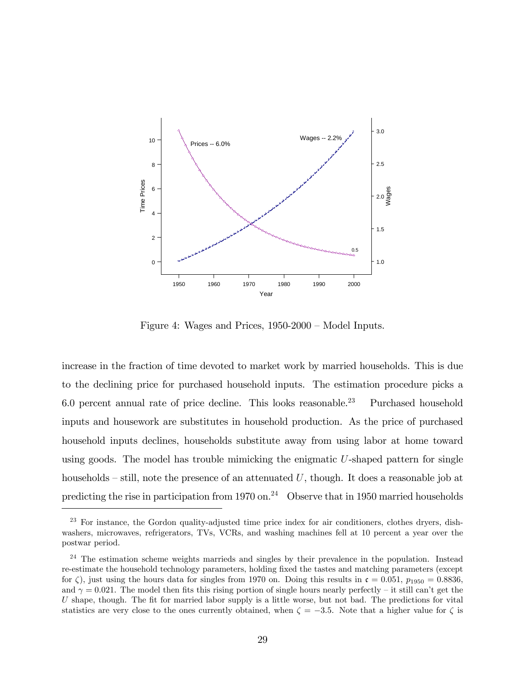

Figure 4: Wages and Prices,  $1950-2000$  – Model Inputs.

increase in the fraction of time devoted to market work by married households. This is due to the declining price for purchased household inputs. The estimation procedure picks a 6.0 percent annual rate of price decline. This looks reasonable.<sup>23</sup> Purchased household inputs and housework are substitutes in household production. As the price of purchased household inputs declines, households substitute away from using labor at home toward using goods. The model has trouble mimicking the enigmatic  $U$ -shaped pattern for single households  $\sim$  still, note the presence of an attenuated U, though. It does a reasonable job at predicting the rise in participation from 1970 on.<sup>24</sup> Observe that in 1950 married households

<sup>&</sup>lt;sup>23</sup> For instance, the Gordon quality-adjusted time price index for air conditioners, clothes dryers, dishwashers, microwaves, refrigerators, TVs, VCRs, and washing machines fell at 10 percent a year over the postwar period.

 $24$  The estimation scheme weights marrieds and singles by their prevalence in the population. Instead re-estimate the household technology parameters, holding Öxed the tastes and matching parameters (except for  $\zeta$ ), just using the hours data for singles from 1970 on. Doing this results in  $\mathfrak{c} = 0.051$ ,  $p_{1950} = 0.8836$ , and  $\gamma = 0.021$ . The model then fits this rising portion of single hours nearly perfectly – it still can't get the U shape, though. The fit for married labor supply is a little worse, but not bad. The predictions for vital statistics are very close to the ones currently obtained, when  $\zeta = -3.5$ . Note that a higher value for  $\zeta$  is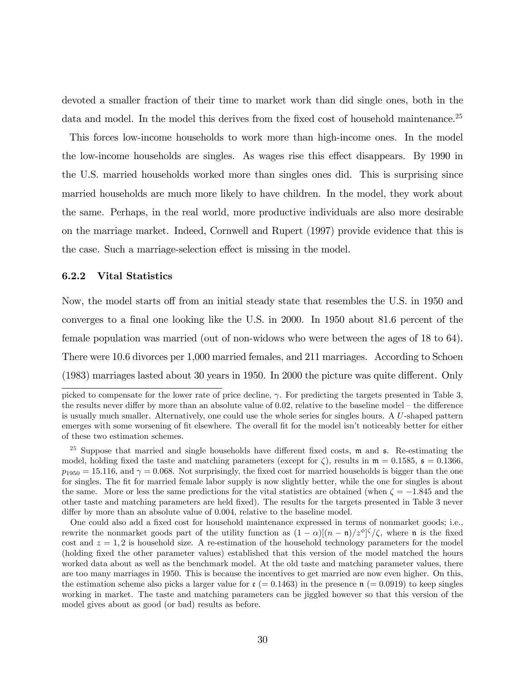devoted a smaller fraction of their time to market work than did single ones, both in the data and model. In the model this derives from the fixed cost of household maintenance.<sup>25</sup>

This forces low-income households to work more than high-income ones. In the model the low-income households are singles. As wages rise this effect disappears. By 1990 in the U.S. married households worked more than singles ones did. This is surprising since married households are much more likely to have children. In the model, they work about the same. Perhaps, in the real world, more productive individuals are also more desirable on the marriage market. Indeed, Cornwell and Rupert (1997) provide evidence that this is the case. Such a marriage-selection effect is missing in the model.

#### 6.2.2 Vital Statistics

Now, the model starts off from an initial steady state that resembles the U.S. in 1950 and converges to a final one looking like the U.S. in 2000. In  $1950$  about 81.6 percent of the female population was married (out of non-widows who were between the ages of 18 to 64). There were 10.6 divorces per 1,000 married females, and 211 marriages. According to Schoen  $(1983)$  marriages lasted about 30 years in 1950. In 2000 the picture was quite different. Only

picked to compensate for the lower rate of price decline,  $\gamma$ . For predicting the targets presented in Table 3, the results never differ by more than an absolute value of  $0.02$ , relative to the baseline model  $-$  the difference is usually much smaller. Alternatively, one could use the whole series for singles hours. A U-shaped pattern emerges with some worsening of fit elsewhere. The overall fit for the model isn't noticeably better for either of these two estimation schemes.

<sup>&</sup>lt;sup>25</sup> Suppose that married and single households have different fixed costs,  $m$  and  $\epsilon$ . Re-estimating the model, holding fixed the taste and matching parameters (except for  $\zeta$ ), results in  $\mathfrak{m} = 0.1585$ ,  $\mathfrak{s} = 0.1366$ ,  $p_{1950} = 15.116$ , and  $\gamma = 0.068$ . Not surprisingly, the fixed cost for married households is bigger than the one for singles. The fit for married female labor supply is now slightly better, while the one for singles is about the same. More or less the same predictions for the vital statistics are obtained (when  $\zeta = -1.845$  and the other taste and matching parameters are held Öxed). The results for the targets presented in Table 3 never differ by more than an absolute value of  $0.004$ , relative to the baseline model.

One could also add a fixed cost for household maintenance expressed in terms of nonmarket goods; i.e., rewrite the nonmarket goods part of the utility function as  $(1 - \alpha)[(n - \mathfrak{n})/z^{\phi}]^{\zeta}/\zeta$ , where  $\mathfrak{n}$  is the fixed cost and  $z = 1, 2$  is household size. A re-estimation of the household technology parameters for the model (holding fixed the other parameter values) established that this version of the model matched the hours worked data about as well as the benchmark model. At the old taste and matching parameter values, there are too many marriages in 1950. This is because the incentives to get married are now even higher. On this, the estimation scheme also picks a larger value for  $\mathfrak{c}$  (= 0.1463) in the presence  $\mathfrak{n}$  (= 0.0919) to keep singles working in market. The taste and matching parameters can be jiggled however so that this version of the model gives about as good (or bad) results as before.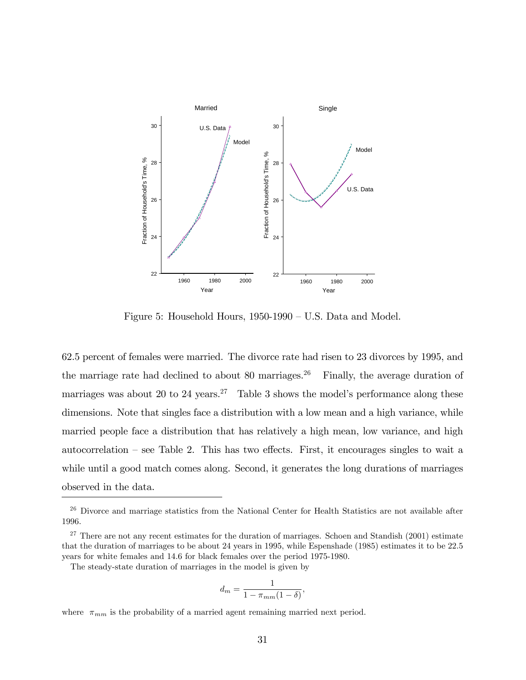

Figure 5: Household Hours,  $1950-1990 - U.S.$  Data and Model.

62.5 percent of females were married. The divorce rate had risen to 23 divorces by 1995, and the marriage rate had declined to about 80 marriages.<sup>26</sup> Finally, the average duration of marriages was about 20 to 24 years.<sup>27</sup> Table 3 shows the model's performance along these dimensions. Note that singles face a distribution with a low mean and a high variance, while married people face a distribution that has relatively a high mean, low variance, and high autocorrelation  $-$  see Table 2. This has two effects. First, it encourages singles to wait a while until a good match comes along. Second, it generates the long durations of marriages observed in the data.

$$
d_m = \frac{1}{1 - \pi_{mm}(1 - \delta)},
$$

where  $\pi_{mm}$  is the probability of a married agent remaining married next period.

<sup>26</sup> Divorce and marriage statistics from the National Center for Health Statistics are not available after 1996.

<sup>&</sup>lt;sup>27</sup> There are not any recent estimates for the duration of marriages. Schoen and Standish  $(2001)$  estimate that the duration of marriages to be about 24 years in 1995, while Espenshade (1985) estimates it to be 22.5 years for white females and 14.6 for black females over the period 1975-1980.

The steady-state duration of marriages in the model is given by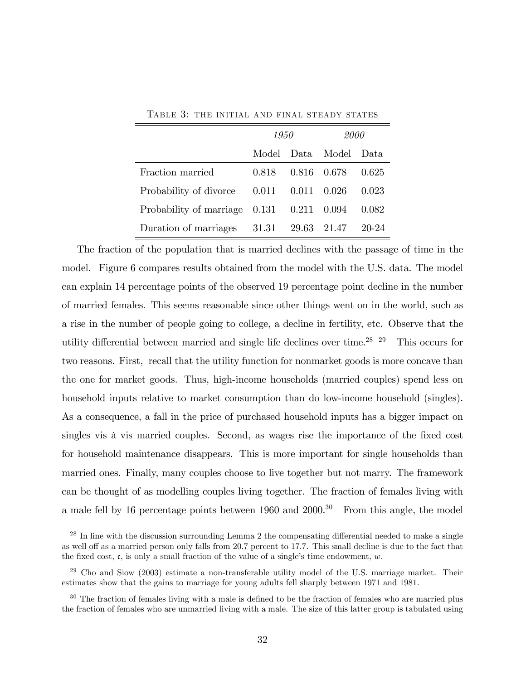|                               | 1950  |       | 2000        |       |  |
|-------------------------------|-------|-------|-------------|-------|--|
|                               | Model | Data. | Model       | Data  |  |
| Fraction married              | 0.818 | 0.816 | - 0.678     | 0.625 |  |
| Probability of divorce        | 0.011 | 0.011 | 0.026       | 0.023 |  |
| Probability of marriage 0.131 |       | 0.211 | 0.094       | 0.082 |  |
| Duration of marriages         | 31.31 |       | 29.63 21.47 | 20-24 |  |

Table 3: the initial and final steady states

The fraction of the population that is married declines with the passage of time in the model. Figure 6 compares results obtained from the model with the U.S. data. The model can explain 14 percentage points of the observed 19 percentage point decline in the number of married females. This seems reasonable since other things went on in the world, such as a rise in the number of people going to college, a decline in fertility, etc. Observe that the utility differential between married and single life declines over time.<sup>28 29</sup> This occurs for two reasons. First, recall that the utility function for nonmarket goods is more concave than the one for market goods. Thus, high-income households (married couples) spend less on household inputs relative to market consumption than do low-income household (singles). As a consequence, a fall in the price of purchased household inputs has a bigger impact on singles vis à vis married couples. Second, as wages rise the importance of the fixed cost for household maintenance disappears. This is more important for single households than married ones. Finally, many couples choose to live together but not marry. The framework can be thought of as modelling couples living together. The fraction of females living with a male fell by 16 percentage points between  $1960$  and  $2000$ .<sup>30</sup> From this angle, the model

 $^{28}$  In line with the discussion surrounding Lemma 2 the compensating differential needed to make a single as well off as a married person only falls from 20.7 percent to 17.7. This small decline is due to the fact that the fixed cost, c, is only a small fraction of the value of a single's time endowment,  $w$ .

 $^{29}$  Cho and Siow (2003) estimate a non-transferable utility model of the U.S. marriage market. Their estimates show that the gains to marriage for young adults fell sharply between 1971 and 1981.

 $30$  The fraction of females living with a male is defined to be the fraction of females who are married plus the fraction of females who are unmarried living with a male. The size of this latter group is tabulated using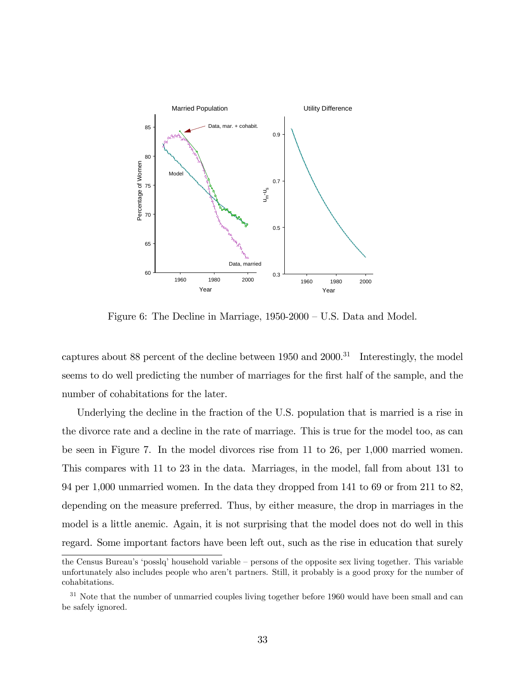

Figure 6: The Decline in Marriage,  $1950-2000 - U.S.$  Data and Model.

captures about 88 percent of the decline between  $1950$  and  $2000$ .<sup>31</sup> Interestingly, the model seems to do well predicting the number of marriages for the first half of the sample, and the number of cohabitations for the later.

Underlying the decline in the fraction of the U.S. population that is married is a rise in the divorce rate and a decline in the rate of marriage. This is true for the model too, as can be seen in Figure 7. In the model divorces rise from 11 to 26, per 1,000 married women. This compares with 11 to 23 in the data. Marriages, in the model, fall from about 131 to 94 per 1,000 unmarried women. In the data they dropped from 141 to 69 or from 211 to 82, depending on the measure preferred. Thus, by either measure, the drop in marriages in the model is a little anemic. Again, it is not surprising that the model does not do well in this regard. Some important factors have been left out, such as the rise in education that surely

the Census Bureau's 'posslq' household variable – persons of the opposite sex living together. This variable unfortunately also includes people who arenít partners. Still, it probably is a good proxy for the number of cohabitations.

 $31$  Note that the number of unmarried couples living together before 1960 would have been small and can be safely ignored.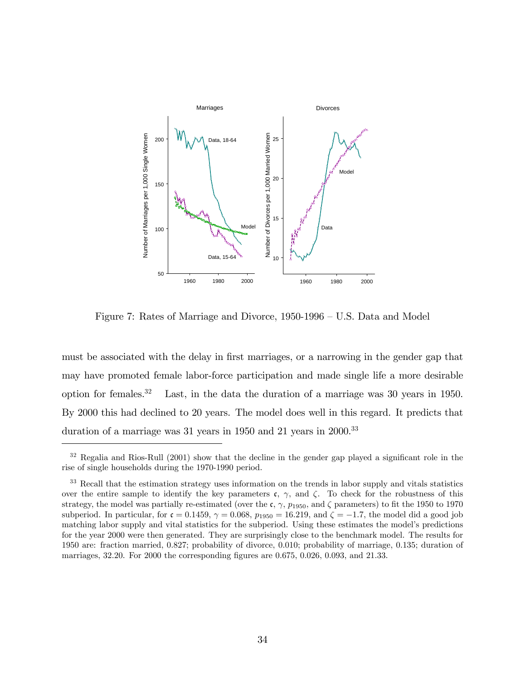

Figure 7: Rates of Marriage and Divorce,  $1950-1996 - U.S.$  Data and Model

must be associated with the delay in first marriages, or a narrowing in the gender gap that may have promoted female labor-force participation and made single life a more desirable option for females.<sup>32</sup> Last, in the data the duration of a marriage was 30 years in 1950. By 2000 this had declined to 20 years. The model does well in this regard. It predicts that duration of a marriage was  $31$  years in 1950 and  $21$  years in 2000.<sup>33</sup>

 $32$  Regalia and Rios-Rull (2001) show that the decline in the gender gap played a significant role in the rise of single households during the 1970-1990 period.

<sup>&</sup>lt;sup>33</sup> Recall that the estimation strategy uses information on the trends in labor supply and vitals statistics over the entire sample to identify the key parameters c,  $\gamma$ , and  $\zeta$ . To check for the robustness of this strategy, the model was partially re-estimated (over the c,  $\gamma$ ,  $p_{1950}$ , and  $\zeta$  parameters) to fit the 1950 to 1970 subperiod. In particular, for  $\mathfrak{c} = 0.1459$ ,  $\gamma = 0.068$ ,  $p_{1950} = 16.219$ , and  $\zeta = -1.7$ , the model did a good job matching labor supply and vital statistics for the subperiod. Using these estimates the model's predictions for the year 2000 were then generated. They are surprisingly close to the benchmark model. The results for 1950 are: fraction married, 0.827; probability of divorce, 0.010; probability of marriage, 0.135; duration of marriages,  $32.20$ . For  $2000$  the corresponding figures are  $0.675$ ,  $0.026$ ,  $0.093$ , and  $21.33$ .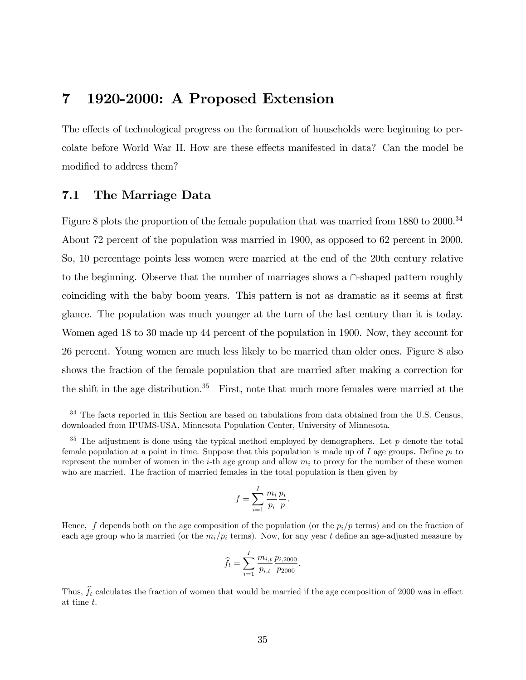# 7 1920-2000: A Proposed Extension

The effects of technological progress on the formation of households were beginning to percolate before World War II. How are these effects manifested in data? Can the model be modified to address them?

## 7.1 The Marriage Data

Figure 8 plots the proportion of the female population that was married from 1880 to 2000.<sup>34</sup> About 72 percent of the population was married in 1900, as opposed to 62 percent in 2000. So, 10 percentage points less women were married at the end of the 20th century relative to the beginning. Observe that the number of marriages shows a  $\cap$ -shaped pattern roughly coinciding with the baby boom years. This pattern is not as dramatic as it seems at first glance. The population was much younger at the turn of the last century than it is today. Women aged 18 to 30 made up 44 percent of the population in 1900. Now, they account for 26 percent. Young women are much less likely to be married than older ones. Figure 8 also shows the fraction of the female population that are married after making a correction for the shift in the age distribution.<sup>35</sup> First, note that much more females were married at the

$$
f = \sum_{i=1}^{I} \frac{m_i}{p_i} \frac{p_i}{p}.
$$

Hence, f depends both on the age composition of the population (or the  $p_i/p$  terms) and on the fraction of each age group who is married (or the  $m_i/p_i$  terms). Now, for any year t define an age-adjusted measure by

$$
\widehat{f}_t = \sum_{i=1}^I \frac{m_{i,t}}{p_{i,t}} \frac{p_{i,2000}}{p_{2000}}.
$$

Thus,  $\hat{f}_t$  calculates the fraction of women that would be married if the age composition of 2000 was in effect at time t.

<sup>&</sup>lt;sup>34</sup> The facts reported in this Section are based on tabulations from data obtained from the U.S. Census, downloaded from IPUMS-USA, Minnesota Population Center, University of Minnesota.

 $35$  The adjustment is done using the typical method employed by demographers. Let p denote the total female population at a point in time. Suppose that this population is made up of I age groups. Define  $p_i$  to represent the number of women in the i-th age group and allow  $m_i$  to proxy for the number of these women who are married. The fraction of married females in the total population is then given by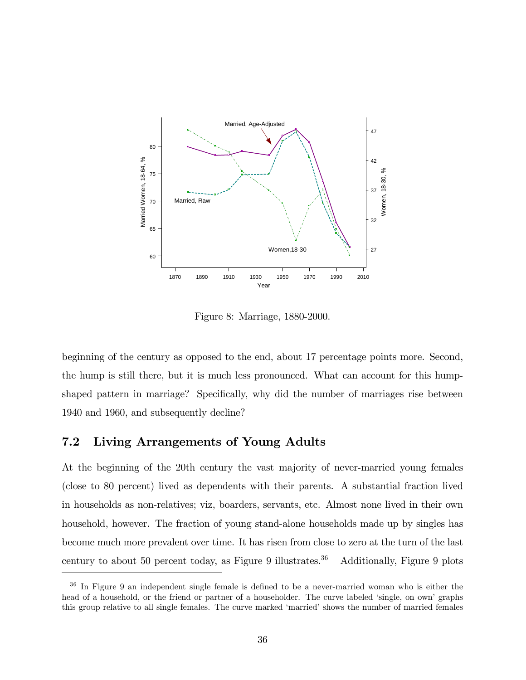

Figure 8: Marriage, 1880-2000.

beginning of the century as opposed to the end, about 17 percentage points more. Second, the hump is still there, but it is much less pronounced. What can account for this humpshaped pattern in marriage? Specifically, why did the number of marriages rise between 1940 and 1960, and subsequently decline?

## 7.2 Living Arrangements of Young Adults

At the beginning of the 20th century the vast majority of never-married young females (close to 80 percent) lived as dependents with their parents. A substantial fraction lived in households as non-relatives; viz, boarders, servants, etc. Almost none lived in their own household, however. The fraction of young stand-alone households made up by singles has become much more prevalent over time. It has risen from close to zero at the turn of the last century to about 50 percent today, as Figure 9 illustrates.<sup>36</sup> Additionally, Figure 9 plots

 $36$  In Figure 9 an independent single female is defined to be a never-married woman who is either the head of a household, or the friend or partner of a householder. The curve labeled 'single, on own' graphs this group relative to all single females. The curve marked 'married' shows the number of married females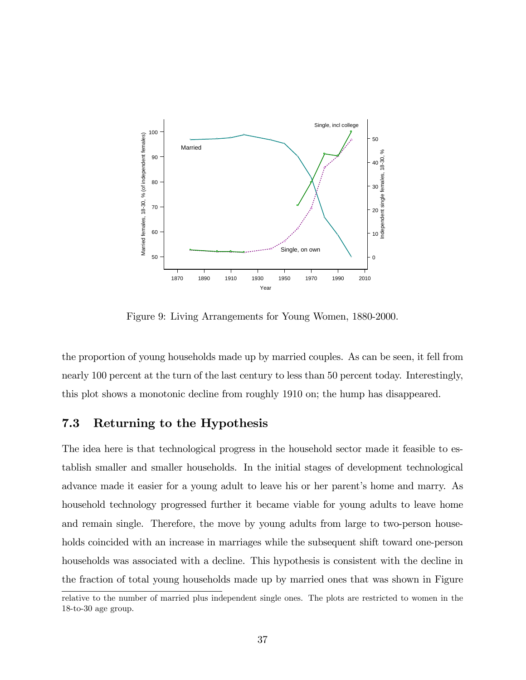

Figure 9: Living Arrangements for Young Women, 1880-2000.

the proportion of young households made up by married couples. As can be seen, it fell from nearly 100 percent at the turn of the last century to less than 50 percent today. Interestingly, this plot shows a monotonic decline from roughly 1910 on; the hump has disappeared.

# 7.3 Returning to the Hypothesis

The idea here is that technological progress in the household sector made it feasible to establish smaller and smaller households. In the initial stages of development technological advance made it easier for a young adult to leave his or her parent's home and marry. As household technology progressed further it became viable for young adults to leave home and remain single. Therefore, the move by young adults from large to two-person households coincided with an increase in marriages while the subsequent shift toward one-person households was associated with a decline. This hypothesis is consistent with the decline in the fraction of total young households made up by married ones that was shown in Figure

relative to the number of married plus independent single ones. The plots are restricted to women in the 18-to-30 age group.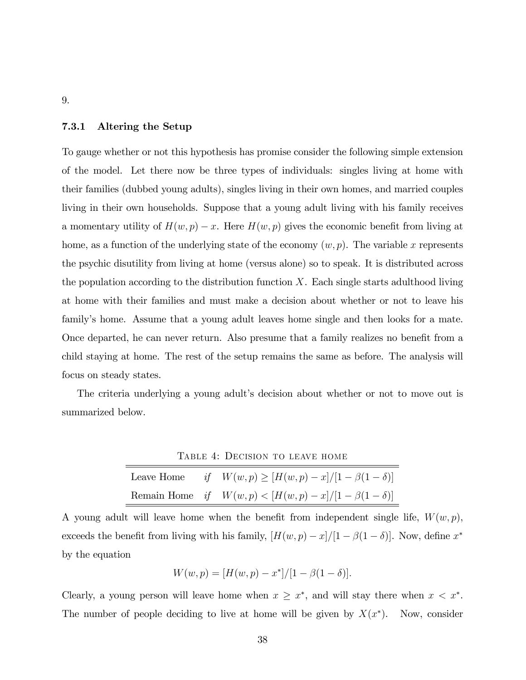#### 7.3.1 Altering the Setup

To gauge whether or not this hypothesis has promise consider the following simple extension of the model. Let there now be three types of individuals: singles living at home with their families (dubbed young adults), singles living in their own homes, and married couples living in their own households. Suppose that a young adult living with his family receives a momentary utility of  $H(w, p) - x$ . Here  $H(w, p)$  gives the economic benefit from living at home, as a function of the underlying state of the economy  $(w, p)$ . The variable x represents the psychic disutility from living at home (versus alone) so to speak. It is distributed across the population according to the distribution function  $X$ . Each single starts adulthood living at home with their families and must make a decision about whether or not to leave his family's home. Assume that a young adult leaves home single and then looks for a mate. Once departed, he can never return. Also presume that a family realizes no benefit from a child staying at home. The rest of the setup remains the same as before. The analysis will focus on steady states.

The criteria underlying a young adult's decision about whether or not to move out is summarized below.

Table 4: Decision to leave home

| Leave Home | if $W(w, p) \ge [H(w, p) - x]/[1 - \beta(1 - \delta)]$           |
|------------|------------------------------------------------------------------|
|            | Remain Home if $W(w, p) <  H(w, p) - x / 1 - \beta(1 - \delta) $ |

A young adult will leave home when the benefit from independent single life,  $W(w, p)$ , exceeds the benefit from living with his family,  $[H(w, p) - x]/[1 - \beta(1 - \delta)]$ . Now, define  $x^*$ by the equation

$$
W(w, p) = [H(w, p) - x^*]/[1 - \beta(1 - \delta)].
$$

Clearly, a young person will leave home when  $x \geq x^*$ , and will stay there when  $x < x^*$ . The number of people deciding to live at home will be given by  $X(x^*)$ . Now, consider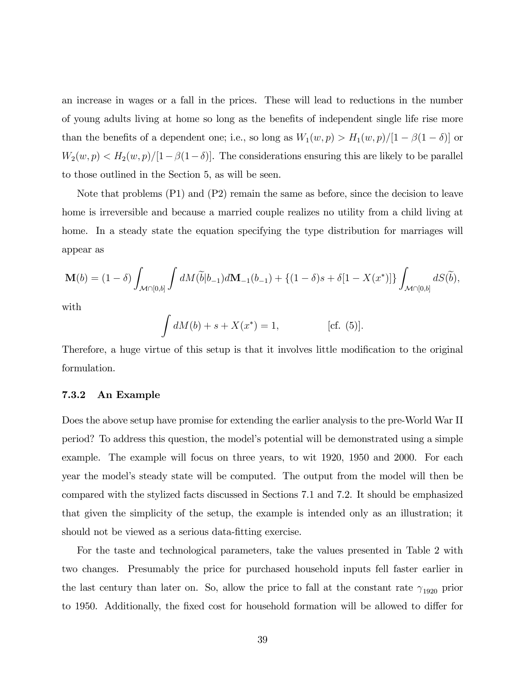an increase in wages or a fall in the prices. These will lead to reductions in the number of young adults living at home so long as the benefits of independent single life rise more than the benefits of a dependent one; i.e., so long as  $W_1(w, p) > H_1(w, p) / [1 - \beta(1 - \delta)]$  or  $W_2(w, p) < H_2(w, p) / [1 - \beta(1 - \delta)].$  The considerations ensuring this are likely to be parallel to those outlined in the Section 5, as will be seen.

Note that problems (P1) and (P2) remain the same as before, since the decision to leave home is irreversible and because a married couple realizes no utility from a child living at home. In a steady state the equation specifying the type distribution for marriages will appear as

$$
\mathbf{M}(b) = (1 - \delta) \int_{\mathcal{M} \cap [0,b]} \int dM(\tilde{b}|b_{-1}) d\mathbf{M}_{-1}(b_{-1}) + \{(1 - \delta)s + \delta[1 - X(x^*)]\} \int_{\mathcal{M} \cap [0,b]} dS(\tilde{b}),
$$

with

$$
\int dM(b) + s + X(x^*) = 1,
$$
 [cf. (5)].

Therefore, a huge virtue of this setup is that it involves little modification to the original formulation.

#### 7.3.2 An Example

Does the above setup have promise for extending the earlier analysis to the pre-World War II period? To address this question, the modelís potential will be demonstrated using a simple example. The example will focus on three years, to wit 1920, 1950 and 2000. For each year the model's steady state will be computed. The output from the model will then be compared with the stylized facts discussed in Sections 7.1 and 7.2. It should be emphasized that given the simplicity of the setup, the example is intended only as an illustration; it should not be viewed as a serious data-fitting exercise.

For the taste and technological parameters, take the values presented in Table 2 with two changes. Presumably the price for purchased household inputs fell faster earlier in the last century than later on. So, allow the price to fall at the constant rate  $\gamma_{1920}$  prior to 1950. Additionally, the fixed cost for household formation will be allowed to differ for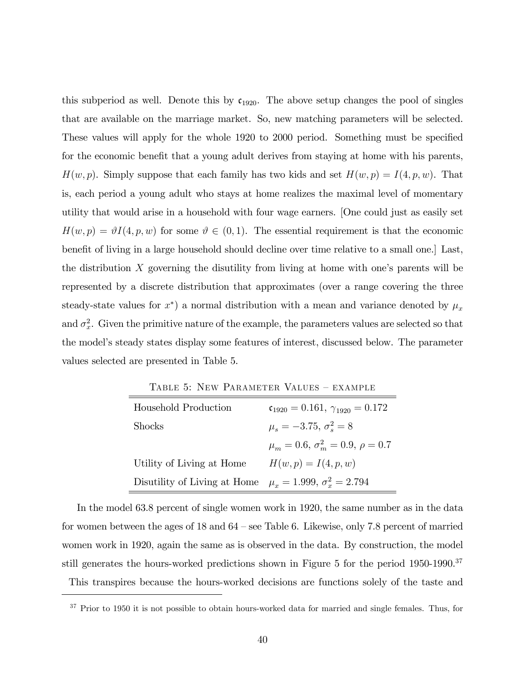this subperiod as well. Denote this by  $c_{1920}$ . The above setup changes the pool of singles that are available on the marriage market. So, new matching parameters will be selected. These values will apply for the whole 1920 to 2000 period. Something must be specified for the economic benefit that a young adult derives from staying at home with his parents,  $H(w, p)$ . Simply suppose that each family has two kids and set  $H(w, p) = I(4, p, w)$ . That is, each period a young adult who stays at home realizes the maximal level of momentary utility that would arise in a household with four wage earners. [One could just as easily set  $H(w, p) = \vartheta I(4, p, w)$  for some  $\vartheta \in (0, 1)$ . The essential requirement is that the economic benefit of living in a large household should decline over time relative to a small one.] Last, the distribution  $X$  governing the disutility from living at home with one's parents will be represented by a discrete distribution that approximates (over a range covering the three steady-state values for  $x^*$ ) a normal distribution with a mean and variance denoted by  $\mu_x$ and  $\sigma_x^2$ . Given the primitive nature of the example, the parameters values are selected so that the modelís steady states display some features of interest, discussed below. The parameter values selected are presented in Table 5.

TABLE 5: NEW PARAMETER VALUES - EXAMPLE

| Household Production         | $\mathfrak{c}_{1920} = 0.161, \gamma_{1920} = 0.172$ |
|------------------------------|------------------------------------------------------|
| <b>Shocks</b>                | $\mu_{\rm s} = -3.75, \sigma_{\rm s}^2 = 8$          |
|                              | $\mu_m = 0.6, \sigma_m^2 = 0.9, \rho = 0.7$          |
| Utility of Living at Home    | $H(w, p) = I(4, p, w)$                               |
| Disutility of Living at Home | $\mu_r = 1.999, \sigma_r^2 = 2.794$                  |

In the model 63.8 percent of single women work in 1920, the same number as in the data for women between the ages of  $18$  and  $64$  – see Table 6. Likewise, only 7.8 percent of married women work in 1920, again the same as is observed in the data. By construction, the model still generates the hours-worked predictions shown in Figure 5 for the period 1950-1990.<sup>37</sup> This transpires because the hours-worked decisions are functions solely of the taste and

<sup>&</sup>lt;sup>37</sup> Prior to 1950 it is not possible to obtain hours-worked data for married and single females. Thus, for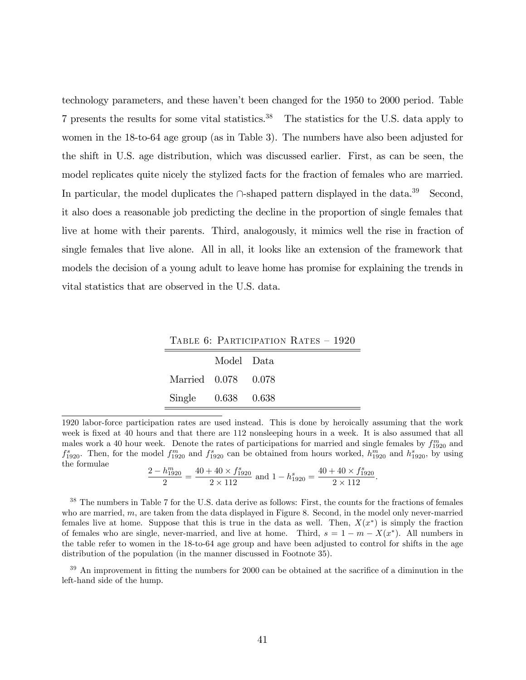technology parameters, and these havenít been changed for the 1950 to 2000 period. Table 7 presents the results for some vital statistics.<sup>38</sup> The statistics for the U.S. data apply to women in the 18-to-64 age group (as in Table 3). The numbers have also been adjusted for the shift in U.S. age distribution, which was discussed earlier. First, as can be seen, the model replicates quite nicely the stylized facts for the fraction of females who are married. In particular, the model duplicates the  $\cap$ -shaped pattern displayed in the data.<sup>39</sup> Second, it also does a reasonable job predicting the decline in the proportion of single females that live at home with their parents. Third, analogously, it mimics well the rise in fraction of single females that live alone. All in all, it looks like an extension of the framework that models the decision of a young adult to leave home has promise for explaining the trends in vital statistics that are observed in the U.S. data.

TABLE 6: PARTICIPATION RATES  $-1920$ 

|                        | Model Data |  |
|------------------------|------------|--|
| Married 0.078 0.078    |            |  |
| Single $0.638$ $0.638$ |            |  |

1920 labor-force participation rates are used instead. This is done by heroically assuming that the work week is fixed at 40 hours and that there are 112 nonsleeping hours in a week. It is also assumed that all males work a 40 hour week. Denote the rates of participations for married and single females by  $f_{1920}^m$  and  $f_{1920}^s$ . Then, for the model  $f_{1920}^m$  and  $f_{1920}^s$  can be obtained from hours worked,  $h_{1920}^m$  and  $h_{1920}^s$ , by using the formulae

$$
\frac{2 - h_{1920}^m}{2} = \frac{40 + 40 \times f_{1920}^s}{2 \times 112}
$$
 and  $1 - h_{1920}^s = \frac{40 + 40 \times f_{1920}^s}{2 \times 112}$ .

<sup>38</sup> The numbers in Table 7 for the U.S. data derive as follows: First, the counts for the fractions of females who are married, m, are taken from the data displayed in Figure 8. Second, in the model only never-married females live at home. Suppose that this is true in the data as well. Then,  $X(x^*)$  is simply the fraction of females who are single, never-married, and live at home. Third,  $s = 1 - m - X(x^*)$ . All numbers in the table refer to women in the 18-to-64 age group and have been adjusted to control for shifts in the age distribution of the population (in the manner discussed in Footnote 35).

 $39$  An improvement in fitting the numbers for 2000 can be obtained at the sacrifice of a diminution in the left-hand side of the hump.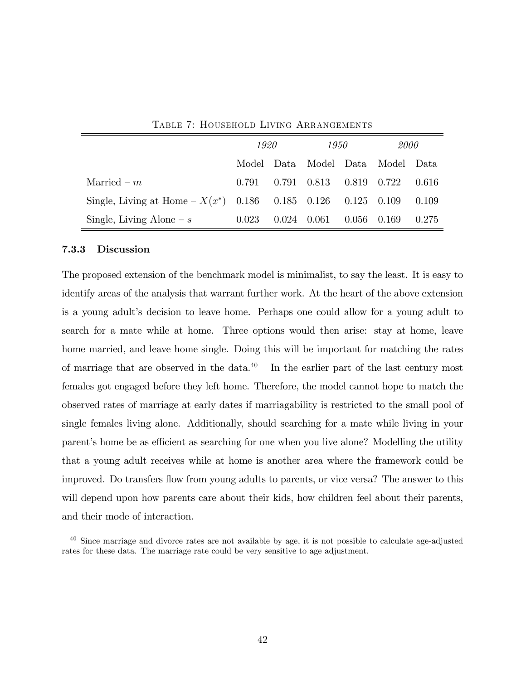|                                                                | 1920  |               | 1950        |               | 2000                       |       |
|----------------------------------------------------------------|-------|---------------|-------------|---------------|----------------------------|-------|
|                                                                | Model |               |             |               | Data Model Data Model Data |       |
| Married $-m$                                                   | 0.791 |               | 0.791 0.813 | 0.819 0.722   |                            | 0.616 |
| Single, Living at Home $-X(x^*)$ 0.186 0.185 0.126 0.125 0.109 |       |               |             |               |                            | 0.109 |
| Single, Living Alone – $s$                                     | 0.023 | $0.024$ 0.061 |             | $0.056$ 0.169 |                            | 0.275 |

Table 7: Household Living Arrangements

#### 7.3.3 Discussion

The proposed extension of the benchmark model is minimalist, to say the least. It is easy to identify areas of the analysis that warrant further work. At the heart of the above extension is a young adult's decision to leave home. Perhaps one could allow for a young adult to search for a mate while at home. Three options would then arise: stay at home, leave home married, and leave home single. Doing this will be important for matching the rates of marriage that are observed in the data. $40$  In the earlier part of the last century most females got engaged before they left home. Therefore, the model cannot hope to match the observed rates of marriage at early dates if marriagability is restricted to the small pool of single females living alone. Additionally, should searching for a mate while living in your parent's home be as efficient as searching for one when you live alone? Modelling the utility that a young adult receives while at home is another area where the framework could be improved. Do transfers flow from young adults to parents, or vice versa? The answer to this will depend upon how parents care about their kids, how children feel about their parents, and their mode of interaction.

<sup>40</sup> Since marriage and divorce rates are not available by age, it is not possible to calculate age-adjusted rates for these data. The marriage rate could be very sensitive to age adjustment.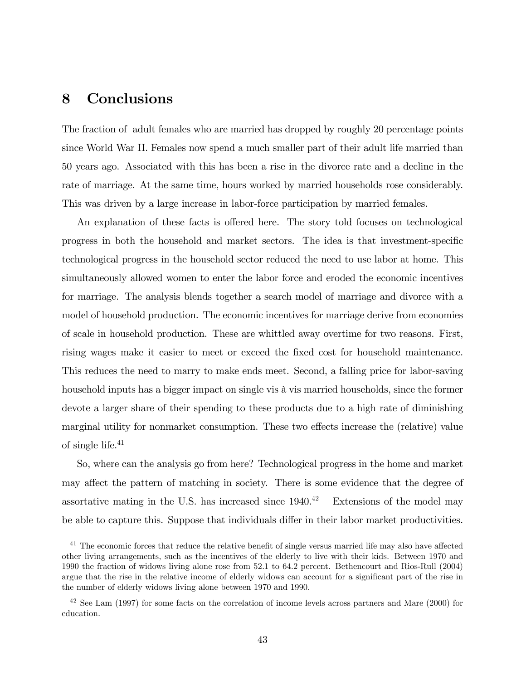# 8 Conclusions

The fraction of adult females who are married has dropped by roughly 20 percentage points since World War II. Females now spend a much smaller part of their adult life married than 50 years ago. Associated with this has been a rise in the divorce rate and a decline in the rate of marriage. At the same time, hours worked by married households rose considerably. This was driven by a large increase in labor-force participation by married females.

An explanation of these facts is offered here. The story told focuses on technological progress in both the household and market sectors. The idea is that investment-specific technological progress in the household sector reduced the need to use labor at home. This simultaneously allowed women to enter the labor force and eroded the economic incentives for marriage. The analysis blends together a search model of marriage and divorce with a model of household production. The economic incentives for marriage derive from economies of scale in household production. These are whittled away overtime for two reasons. First, rising wages make it easier to meet or exceed the fixed cost for household maintenance. This reduces the need to marry to make ends meet. Second, a falling price for labor-saving household inputs has a bigger impact on single vis à vis married households, since the former devote a larger share of their spending to these products due to a high rate of diminishing marginal utility for nonmarket consumption. These two effects increase the (relative) value of single life.<sup>41</sup>

So, where can the analysis go from here? Technological progress in the home and market may affect the pattern of matching in society. There is some evidence that the degree of assortative mating in the U.S. has increased since  $1940<sup>42</sup>$  Extensions of the model may be able to capture this. Suppose that individuals differ in their labor market productivities.

 $41$  The economic forces that reduce the relative benefit of single versus married life may also have affected other living arrangements, such as the incentives of the elderly to live with their kids. Between 1970 and 1990 the fraction of widows living alone rose from 52.1 to 64.2 percent. Bethencourt and Rios-Rull (2004) argue that the rise in the relative income of elderly widows can account for a significant part of the rise in the number of elderly widows living alone between 1970 and 1990.

 $^{42}$  See Lam (1997) for some facts on the correlation of income levels across partners and Mare (2000) for education.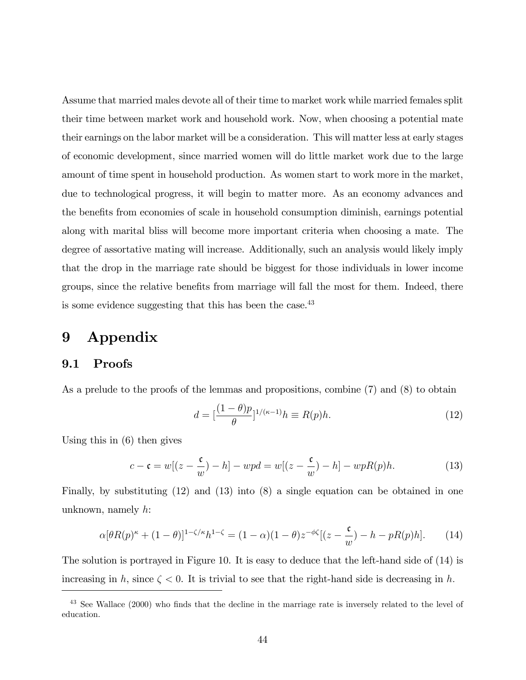Assume that married males devote all of their time to market work while married females split their time between market work and household work. Now, when choosing a potential mate their earnings on the labor market will be a consideration. This will matter less at early stages of economic development, since married women will do little market work due to the large amount of time spent in household production. As women start to work more in the market, due to technological progress, it will begin to matter more. As an economy advances and the benefits from economies of scale in household consumption diminish, earnings potential along with marital bliss will become more important criteria when choosing a mate. The degree of assortative mating will increase. Additionally, such an analysis would likely imply that the drop in the marriage rate should be biggest for those individuals in lower income groups, since the relative benefits from marriage will fall the most for them. Indeed, there is some evidence suggesting that this has been the case.<sup>43</sup>

# 9 Appendix

### 9.1 Proofs

As a prelude to the proofs of the lemmas and propositions, combine (7) and (8) to obtain

$$
d = \left[\frac{(1-\theta)p}{\theta}\right]^{1/(\kappa-1)} h \equiv R(p)h. \tag{12}
$$

Using this in (6) then gives

$$
c - \mathfrak{c} = w[(z - \frac{\mathfrak{c}}{w}) - h] - wpd = w[(z - \frac{\mathfrak{c}}{w}) - h] - wpR(p)h.
$$
 (13)

Finally, by substituting (12) and (13) into (8) a single equation can be obtained in one unknown, namely  $h$ :

$$
\alpha[\theta R(p)^{\kappa} + (1-\theta)]^{1-\zeta/\kappa} h^{1-\zeta} = (1-\alpha)(1-\theta)z^{-\phi\zeta}[(z-\frac{\mathfrak{c}}{w}) - h - pR(p)h].\tag{14}
$$

The solution is portrayed in Figure 10. It is easy to deduce that the left-hand side of (14) is increasing in h, since  $\zeta < 0$ . It is trivial to see that the right-hand side is decreasing in h.

 $43$  See Wallace (2000) who finds that the decline in the marriage rate is inversely related to the level of education.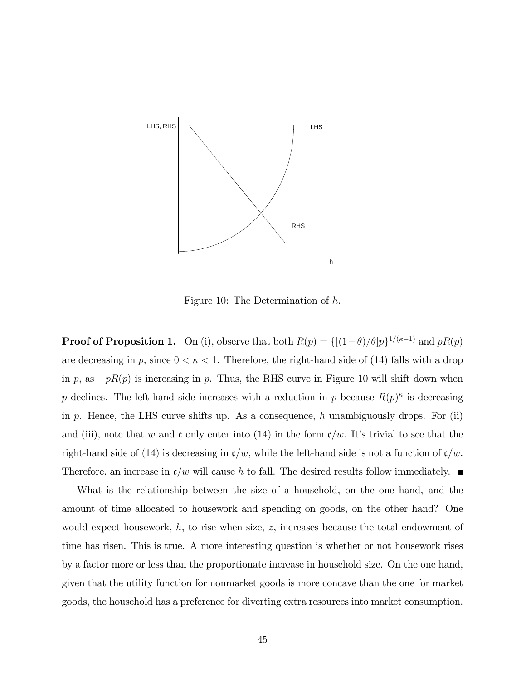

Figure 10: The Determination of h.

**Proof of Proposition 1.** On (i), observe that both  $R(p) = \{[(1-\theta)/\theta]p\}^{1/(\kappa-1)}$  and  $pR(p)$ are decreasing in p, since  $0 < \kappa < 1$ . Therefore, the right-hand side of (14) falls with a drop in p, as  $-pR(p)$  is increasing in p. Thus, the RHS curve in Figure 10 will shift down when p declines. The left-hand side increases with a reduction in p because  $R(p)^k$  is decreasing in  $p$ . Hence, the LHS curve shifts up. As a consequence,  $h$  unambiguously drops. For (ii) and (iii), note that w and c only enter into (14) in the form  $c/w$ . It's trivial to see that the right-hand side of (14) is decreasing in  $\mathfrak{c}/w$ , while the left-hand side is not a function of  $\mathfrak{c}/w$ . Therefore, an increase in  $\mathfrak{c}/w$  will cause h to fall. The desired results follow immediately.

What is the relationship between the size of a household, on the one hand, and the amount of time allocated to housework and spending on goods, on the other hand? One would expect housework,  $h$ , to rise when size,  $z$ , increases because the total endowment of time has risen. This is true. A more interesting question is whether or not housework rises by a factor more or less than the proportionate increase in household size. On the one hand, given that the utility function for nonmarket goods is more concave than the one for market goods, the household has a preference for diverting extra resources into market consumption.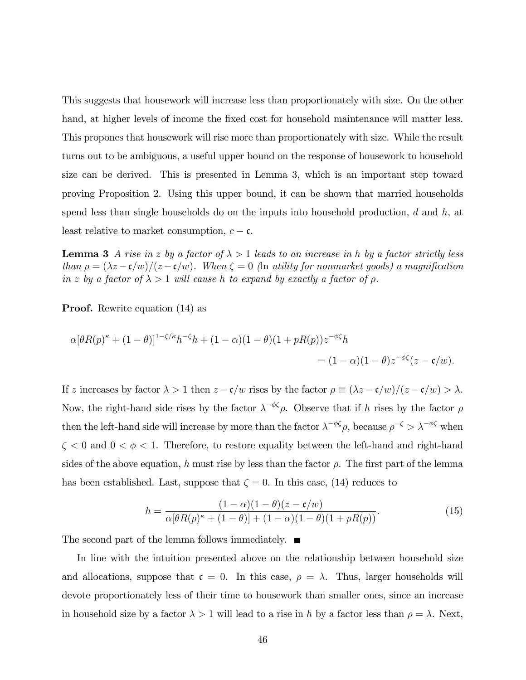This suggests that housework will increase less than proportionately with size. On the other hand, at higher levels of income the fixed cost for household maintenance will matter less. This propones that housework will rise more than proportionately with size. While the result turns out to be ambiguous, a useful upper bound on the response of housework to household size can be derived. This is presented in Lemma 3, which is an important step toward proving Proposition 2. Using this upper bound, it can be shown that married households spend less than single households do on the inputs into household production,  $d$  and  $h$ , at least relative to market consumption,  $c - c$ .

**Lemma 3** A rise in z by a factor of  $\lambda > 1$  leads to an increase in h by a factor strictly less than  $\rho = (\lambda z - \mathfrak{c}/w)/(z - \mathfrak{c}/w)$ . When  $\zeta = 0$  (in utility for nonmarket goods) a magnification in z by a factor of  $\lambda > 1$  will cause h to expand by exactly a factor of  $\rho$ .

#### **Proof.** Rewrite equation (14) as

$$
\alpha[\theta R(p)^{\kappa} + (1 - \theta)]^{1 - \zeta/\kappa} h^{-\zeta} h + (1 - \alpha)(1 - \theta)(1 + pR(p))z^{-\phi\zeta} h
$$
  
=  $(1 - \alpha)(1 - \theta)z^{-\phi\zeta}(z - \mathfrak{c}/w).$ 

If z increases by factor  $\lambda > 1$  then  $z - c/w$  rises by the factor  $\rho \equiv (\lambda z - c/w)/(z - c/w) > \lambda$ . Now, the right-hand side rises by the factor  $\lambda^{-\phi\zeta}\rho$ . Observe that if h rises by the factor  $\rho$ then the left-hand side will increase by more than the factor  $\lambda^{-\phi\zeta}\rho$ , because  $\rho^{-\zeta} > \lambda^{-\phi\zeta}$  when  $\zeta$  < 0 and  $0 < \phi < 1$ . Therefore, to restore equality between the left-hand and right-hand sides of the above equation, h must rise by less than the factor  $\rho$ . The first part of the lemma has been established. Last, suppose that  $\zeta = 0$ . In this case, (14) reduces to

$$
h = \frac{(1 - \alpha)(1 - \theta)(z - \mathfrak{c}/w)}{\alpha[\theta R(p)^{\kappa} + (1 - \theta)] + (1 - \alpha)(1 - \theta)(1 + pR(p))}.
$$
 (15)

The second part of the lemma follows immediately.  $\blacksquare$ 

In line with the intuition presented above on the relationship between household size and allocations, suppose that  $\mathfrak{c} = 0$ . In this case,  $\rho = \lambda$ . Thus, larger households will devote proportionately less of their time to housework than smaller ones, since an increase in household size by a factor  $\lambda > 1$  will lead to a rise in h by a factor less than  $\rho = \lambda$ . Next,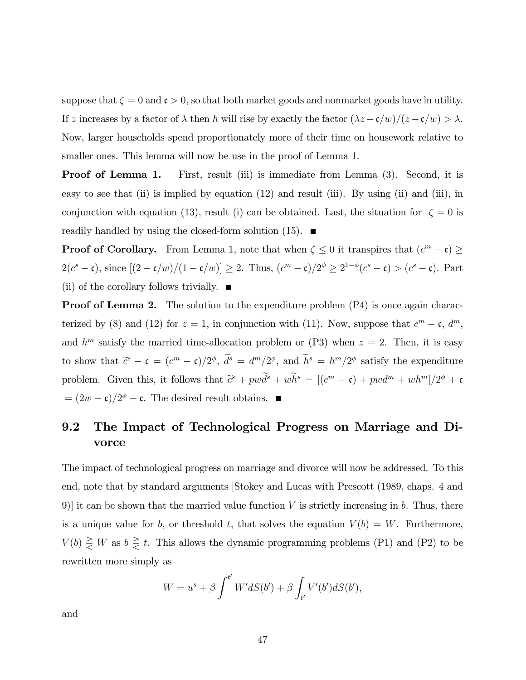suppose that  $\zeta = 0$  and  $\mathfrak{c} > 0$ , so that both market goods and nonmarket goods have ln utility. If z increases by a factor of  $\lambda$  then h will rise by exactly the factor  $(\lambda z - c/w)/(z - c/w) > \lambda$ . Now, larger households spend proportionately more of their time on housework relative to smaller ones. This lemma will now be use in the proof of Lemma 1.

**Proof of Lemma 1.** First, result (iii) is immediate from Lemma (3). Second, it is easy to see that (ii) is implied by equation (12) and result (iii). By using (ii) and (iii), in conjunction with equation (13), result (i) can be obtained. Last, the situation for  $\zeta = 0$  is readily handled by using the closed-form solution  $(15)$ .

**Proof of Corollary.** From Lemma 1, note that when  $\zeta \leq 0$  it transpires that  $(c^m - c) \geq$  $2(c^s - \mathfrak{c})$ , since  $[(2 - \mathfrak{c}/w)/(1 - \mathfrak{c}/w)] \ge 2$ . Thus,  $(c^m - \mathfrak{c})/2^{\phi} \ge 2^{1-\phi}(c^s - \mathfrak{c}) > (c^s - \mathfrak{c})$ . Part (ii) of the corollary follows trivially.  $\blacksquare$ 

**Proof of Lemma 2.** The solution to the expenditure problem  $(P4)$  is once again characterized by (8) and (12) for  $z = 1$ , in conjunction with (11). Now, suppose that  $c^m - \mathfrak{c}$ ,  $d^m$ , and  $h^m$  satisfy the married time-allocation problem or (P3) when  $z = 2$ . Then, it is easy to show that  $\tilde{c}^s - \mathfrak{c} = (c^m - \mathfrak{c})/2^{\phi}, d^s = d^m/2^{\phi}$ , and  $h^s = h^m/2^{\phi}$  satisfy the expenditure problem. Given this, it follows that  $\tilde{c}^s + p w d^s + w h^s = [(c^m - \mathfrak{c}) + p w d^m + wh^m]/2^{\phi} + \mathfrak{c}$  $=(2w-\mathfrak{c})/2^{\phi}+\mathfrak{c}$ . The desired result obtains.

# 9.2 The Impact of Technological Progress on Marriage and Divorce

The impact of technological progress on marriage and divorce will now be addressed. To this end, note that by standard arguments [Stokey and Lucas with Prescott (1989, chaps. 4 and 9)] it can be shown that the married value function  $V$  is strictly increasing in  $b$ . Thus, there is a unique value for b, or threshold t, that solves the equation  $V(b) = W$ . Furthermore,  $V(b) \geq W$  as  $b \geq t$ . This allows the dynamic programming problems (P1) and (P2) to be rewritten more simply as

$$
W = us + \beta \int^{t'} W' dS(b') + \beta \int_{t'} V'(b') dS(b'),
$$

and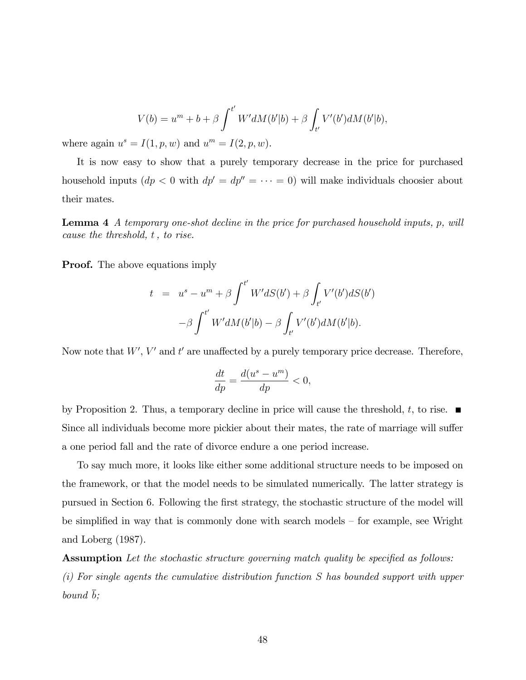$$
V(b) = um + b + \beta \int^{t'} W'dM(b'|b) + \beta \int_{t'} V'(b')dM(b'|b),
$$

where again  $u^s = I(1, p, w)$  and  $u^m = I(2, p, w)$ .

It is now easy to show that a purely temporary decrease in the price for purchased household inputs  $(dp < 0$  with  $dp' = dp'' = \cdots = 0)$  will make individuals choosier about their mates.

Lemma 4 A temporary one-shot decline in the price for purchased household inputs, p, will cause the threshold, t, to rise.

**Proof.** The above equations imply

$$
t = us - um + \beta \int^{t'} W'dS(b') + \beta \int_{t'} V'(b')dS(b')
$$

$$
-\beta \int^{t'} W'dM(b'|b) - \beta \int_{t'} V'(b')dM(b'|b).
$$

Now note that  $W'$ ,  $V'$  and  $t'$  are unaffected by a purely temporary price decrease. Therefore,

$$
\frac{dt}{dp} = \frac{d(u^s - u^m)}{dp} < 0,
$$

by Proposition 2. Thus, a temporary decline in price will cause the threshold, t, to rise.  $\blacksquare$ Since all individuals become more pickier about their mates, the rate of marriage will suffer a one period fall and the rate of divorce endure a one period increase.

To say much more, it looks like either some additional structure needs to be imposed on the framework, or that the model needs to be simulated numerically. The latter strategy is pursued in Section 6. Following the first strategy, the stochastic structure of the model will be simplified in way that is commonly done with search models  $-$  for example, see Wright and Loberg (1987).

Assumption Let the stochastic structure governing match quality be specified as follows: (i) For single agents the cumulative distribution function S has bounded support with upper bound b;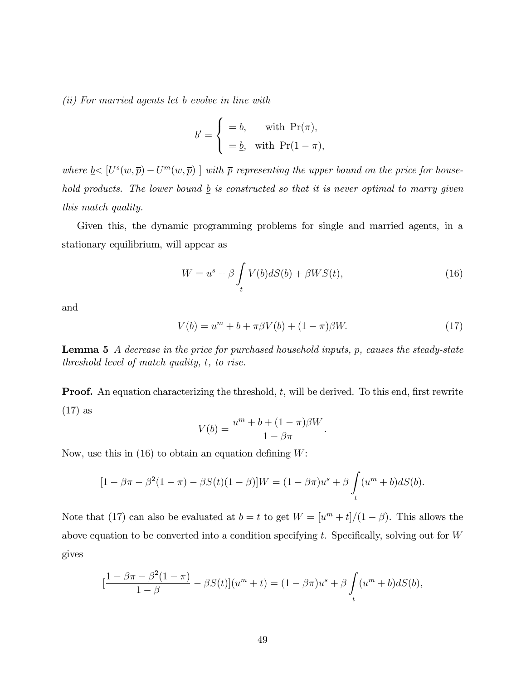(ii) For married agents let b evolve in line with

$$
b' = \begin{cases} = b, & \text{with } Pr(\pi), \\ = \underline{b}, & \text{with } Pr(1 - \pi), \end{cases}
$$

where  $\underline{b} < [U^s(w,\overline{p}) - U^m(w,\overline{p})]$  with  $\overline{p}$  representing the upper bound on the price for household products. The lower bound  $\underline{b}$  is constructed so that it is never optimal to marry given this match quality.

Given this, the dynamic programming problems for single and married agents, in a stationary equilibrium, will appear as

$$
W = us + \beta \int_{t} V(b)dS(b) + \beta WS(t),
$$
\n(16)

and

$$
V(b) = um + b + \pi \beta V(b) + (1 - \pi)\beta W.
$$
 (17)

**Lemma 5** A decrease in the price for purchased household inputs, p, causes the steady-state threshold level of match quality, t, to rise.

**Proof.** An equation characterizing the threshold,  $t$ , will be derived. To this end, first rewrite (17) as

$$
V(b) = \frac{u^m + b + (1 - \pi)\beta W}{1 - \beta \pi}.
$$

Now, use this in  $(16)$  to obtain an equation defining W:

$$
[1 - \beta \pi - \beta^{2}(1 - \pi) - \beta S(t)(1 - \beta)]W = (1 - \beta \pi)u^{s} + \beta \int_{t} (u^{m} + b)dS(b).
$$

Note that (17) can also be evaluated at  $b = t$  to get  $W = [u<sup>m</sup> + t]/(1 - \beta)$ . This allows the above equation to be converted into a condition specifying t. Specifically, solving out for  $W$ gives

$$
\left[\frac{1-\beta\pi-\beta^2(1-\pi)}{1-\beta} - \beta S(t)\right](u^m + t) = (1-\beta\pi)u^s + \beta \int_t (u^m + b)dS(b),
$$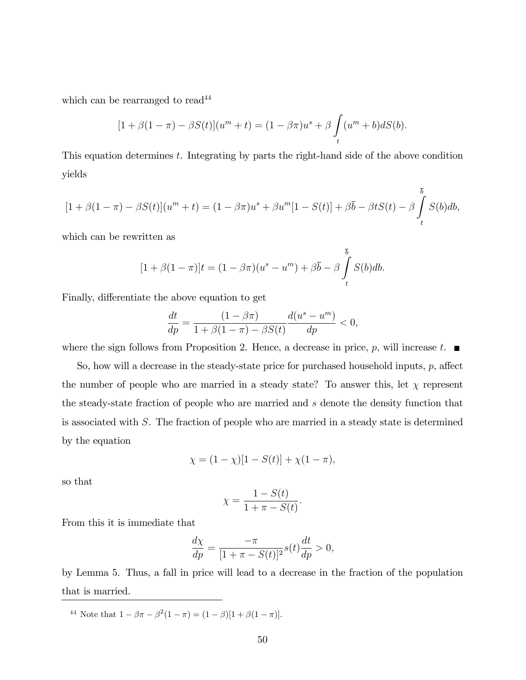which can be rearranged to read<sup>44</sup>

$$
[1 + \beta(1 - \pi) - \beta S(t)](u^{m} + t) = (1 - \beta \pi)u^{s} + \beta \int_{t} (u^{m} + b)dS(b).
$$

This equation determines t. Integrating by parts the right-hand side of the above condition yields

$$
[1 + \beta(1 - \pi) - \beta S(t)](u^{m} + t) = (1 - \beta\pi)u^{s} + \beta u^{m}[1 - S(t)] + \beta\overline{b} - \beta tS(t) - \beta \int_{t}^{\overline{b}} S(b)db,
$$

which can be rewritten as

$$
[1 + \beta(1 - \pi)]t = (1 - \beta\pi)(u^s - u^m) + \beta\overline{b} - \beta \int_t^b S(b)db.
$$

Finally, differentiate the above equation to get

$$
\frac{dt}{dp} = \frac{(1 - \beta \pi)}{1 + \beta(1 - \pi) - \beta S(t)} \frac{d(u^s - u^m)}{dp} < 0,
$$

where the sign follows from Proposition 2. Hence, a decrease in price, p, will increase  $t$ .

So, how will a decrease in the steady-state price for purchased household inputs,  $p$ , affect the number of people who are married in a steady state? To answer this, let  $\chi$  represent the steady-state fraction of people who are married and s denote the density function that is associated with S. The fraction of people who are married in a steady state is determined by the equation

$$
\chi = (1 - \chi)[1 - S(t)] + \chi(1 - \pi),
$$

so that

$$
\chi = \frac{1 - S(t)}{1 + \pi - S(t)}.
$$

From this it is immediate that

$$
\frac{d\chi}{dp} = \frac{-\pi}{[1+\pi - S(t)]^2} s(t) \frac{dt}{dp} > 0,
$$

by Lemma 5. Thus, a fall in price will lead to a decrease in the fraction of the population that is married.

<sup>44</sup> Note that  $1 - \beta \pi - \beta^2 (1 - \pi) = (1 - \beta)[1 + \beta(1 - \pi)].$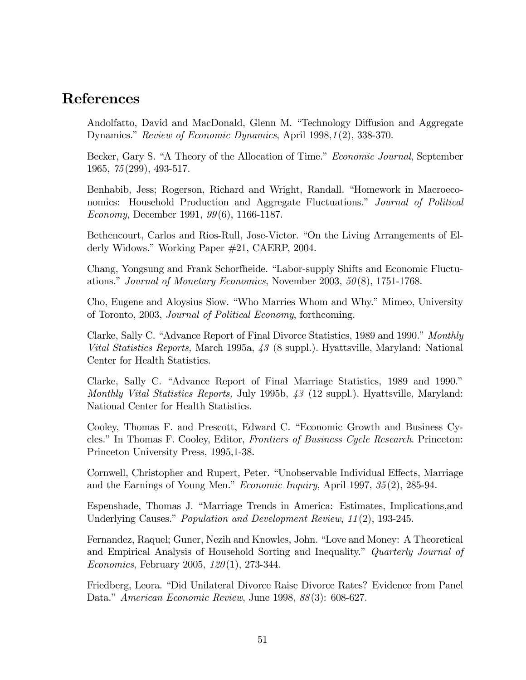# References

Andolfatto, David and MacDonald, Glenn M. "Technology Diffusion and Aggregate Dynamics." Review of Economic Dynamics, April 1998,1(2), 338-370.

Becker, Gary S. "A Theory of the Allocation of Time." *Economic Journal*, September 1965, 75(299), 493-517.

Benhabib, Jess; Rogerson, Richard and Wright, Randall. "Homework in Macroeconomics: Household Production and Aggregate Fluctuations.<sup>n</sup> Journal of Political Economy, December 1991, 99(6), 1166-1187.

Bethencourt, Carlos and Rios-Rull, Jose-Victor. "On the Living Arrangements of Elderly Widows." Working Paper #21, CAERP, 2004.

Chang, Yongsung and Frank Schorfheide. "Labor-supply Shifts and Economic Fluctuations." Journal of Monetary Economics, November 2003,  $50(8)$ , 1751-1768.

Cho, Eugene and Aloysius Siow. "Who Marries Whom and Why." Mimeo, University of Toronto, 2003, Journal of Political Economy, forthcoming.

Clarke, Sally C. "Advance Report of Final Divorce Statistics, 1989 and 1990." Monthly Vital Statistics Reports, March 1995a, 43 (8 suppl.). Hyattsville, Maryland: National Center for Health Statistics.

Clarke, Sally C. "Advance Report of Final Marriage Statistics, 1989 and 1990." Monthly Vital Statistics Reports, July 1995b,  $\mathcal{A}3$  (12 suppl.). Hyattsville, Maryland: National Center for Health Statistics.

Cooley, Thomas F. and Prescott, Edward C. "Economic Growth and Business Cycles." In Thomas F. Cooley, Editor, Frontiers of Business Cycle Research. Princeton: Princeton University Press, 1995,1-38.

Cornwell, Christopher and Rupert, Peter. "Unobservable Individual Effects, Marriage and the Earnings of Young Men." *Economic Inquiry*, April 1997,  $35(2)$ , 285-94.

Espenshade, Thomas J. "Marriage Trends in America: Estimates, Implications,and Underlying Causes." *Population and Development Review*,  $11(2)$ , 193-245.

Fernandez, Raquel; Guner, Nezih and Knowles, John. "Love and Money: A Theoretical and Empirical Analysis of Household Sorting and Inequality.<sup>n</sup> Quarterly Journal of *Economics*, February 2005,  $120(1)$ , 273-344.

Friedberg, Leora. "Did Unilateral Divorce Raise Divorce Rates? Evidence from Panel Data." American Economic Review, June 1998, 88(3): 608-627.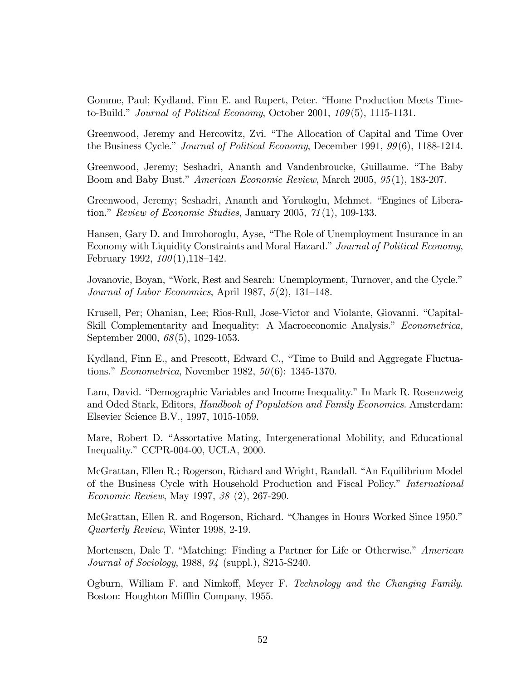Gomme, Paul; Kydland, Finn E. and Rupert, Peter. "Home Production Meets Timeto-Build." Journal of Political Economy, October 2001,  $109(5)$ , 1115-1131.

Greenwood, Jeremy and Hercowitz, Zvi. "The Allocation of Capital and Time Over the Business Cycle." Journal of Political Economy, December 1991,  $99(6)$ , 1188-1214.

Greenwood, Jeremy; Seshadri, Ananth and Vandenbroucke, Guillaume. "The Baby" Boom and Baby Bust." American Economic Review, March 2005, 95(1), 183-207.

Greenwood, Jeremy; Seshadri, Ananth and Yorukoglu, Mehmet. "Engines of Liberation." Review of Economic Studies, January 2005,  $71(1)$ , 109-133.

Hansen, Gary D. and Imrohoroglu, Ayse, "The Role of Unemployment Insurance in an Economy with Liquidity Constraints and Moral Hazard." Journal of Political Economy, February 1992,  $100(1)$ , 118–142.

Jovanovic, Boyan, "Work, Rest and Search: Unemployment, Turnover, and the Cycle." Journal of Labor Economics, April 1987,  $5(2)$ , 131–148.

Krusell, Per; Ohanian, Lee; Rios-Rull, Jose-Victor and Violante, Giovanni. "Capital-Skill Complementarity and Inequality: A Macroeconomic Analysis." Econometrica, September 2000, 68(5), 1029-1053.

Kydland, Finn E., and Prescott, Edward C., "Time to Build and Aggregate Fluctuations." *Econometrica*, November 1982,  $50(6)$ : 1345-1370.

Lam, David. "Demographic Variables and Income Inequality." In Mark R. Rosenzweig and Oded Stark, Editors, Handbook of Population and Family Economics. Amsterdam: Elsevier Science B.V., 1997, 1015-1059.

Mare, Robert D. "Assortative Mating, Intergenerational Mobility, and Educational Inequality." CCPR-004-00, UCLA,  $2000$ .

McGrattan, Ellen R.; Rogerson, Richard and Wright, Randall. "An Equilibrium Model of the Business Cycle with Household Production and Fiscal Policy." *International* Economic Review, May 1997, 38 (2), 267-290.

McGrattan, Ellen R. and Rogerson, Richard. "Changes in Hours Worked Since 1950." Quarterly Review, Winter 1998, 2-19.

Mortensen, Dale T. "Matching: Finding a Partner for Life or Otherwise." American Journal of Sociology, 1988, 94 (suppl.), S215-S240.

Ogburn, William F. and Nimkoff, Meyer F. Technology and the Changing Family. Boston: Houghton Mifflin Company, 1955.